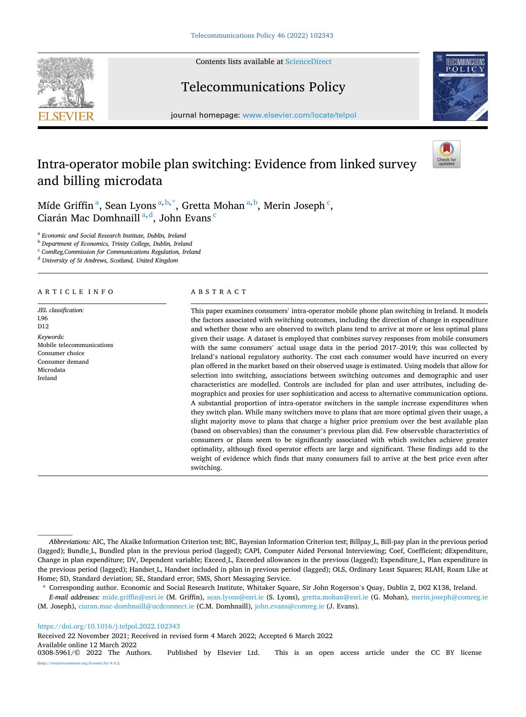Contents lists available at [ScienceDirect](www.sciencedirect.com/science/journal/03085961)







journal homepage: [www.elsevier.com/locate/telpol](https://www.elsevier.com/locate/telpol)

# Intra-operator mobile plan switching: Evidence from linked survey and billing microdata



Míde Griffin<sup>a</sup>, Sean Lyons<sup>a, b,\*</sup>, Gretta Mohan<sup>a, b</sup>, Merin Joseph<sup>c</sup>, Ciarán Mac Domhnaill<sup>a, d</sup>, John Evans<sup>c</sup>

<sup>a</sup> *Economic and Social Research Institute, Dublin, Ireland* 

<sup>b</sup> *Department of Economics, Trinity College, Dublin, Ireland* 

<sup>c</sup> *ComReg,Commission for Communications Regulation, Ireland* 

<sup>d</sup> *University of St Andrews, Scotland, United Kingdom* 

## ARTICLE INFO

*JEL classification:*  L96 D<sub>12</sub> *Keywords:*  Mobile telecommunications Consumer choice Consumer demand Microdata Ireland

## ABSTRACT

This paper examines consumers' intra-operator mobile phone plan switching in Ireland. It models the factors associated with switching outcomes, including the direction of change in expenditure and whether those who are observed to switch plans tend to arrive at more or less optimal plans given their usage. A dataset is employed that combines survey responses from mobile consumers with the same consumers' actual usage data in the period 2017–2019; this was collected by Ireland's national regulatory authority. The cost each consumer would have incurred on every plan offered in the market based on their observed usage is estimated. Using models that allow for selection into switching, associations between switching outcomes and demographic and user characteristics are modelled. Controls are included for plan and user attributes, including demographics and proxies for user sophistication and access to alternative communication options. A substantial proportion of intra-operator switchers in the sample increase expenditures when they switch plan. While many switchers move to plans that are more optimal given their usage, a slight majority move to plans that charge a higher price premium over the best available plan (based on observables) than the consumer's previous plan did. Few observable characteristics of consumers or plans seem to be significantly associated with which switches achieve greater optimality, although fixed operator effects are large and significant. These findings add to the weight of evidence which finds that many consumers fail to arrive at the best price even after switching.

<https://doi.org/10.1016/j.telpol.2022.102343>

Received 22 November 2021; Received in revised form 4 March 2022; Accepted 6 March 2022

Available online 12 March 2022<br>0308-5961/© 2022 The Authors.

*Abbreviations:* AIC, The Akaike Information Criterion test; BIC, Bayesian Information Criterion test; Billpay\_L, Bill-pay plan in the previous period (lagged); Bundle\_L, Bundled plan in the previous period (lagged); CAPI, Computer Aided Personal Interviewing; Coef, Coefficient; dExpenditure, Change in plan expenditure; DV, Dependent variable; Exceed\_L, Exceeded allowances in the previous (lagged); Expenditure\_L, Plan expenditure in the previous period (lagged); Handset L, Handset included in plan in previous period (lagged); OLS, Ordinary Least Squares; RLAH, Roam Like at Home; SD, Standard deviation; SE, Standard error; SMS, Short Messaging Service.

<sup>\*</sup> Corresponding author. Economic and Social Research Institute, Whitaker Square, Sir John Rogerson's Quay, Dublin 2, D02 K138, Ireland.

*E-mail addresses:* [mide.griffin@esri.ie](mailto:mide.griffin@esri.ie) (M. Griffin), [sean.lyons@esri.ie](mailto:sean.lyons@esri.ie) (S. Lyons), [gretta.mohan@esri.ie](mailto:gretta.mohan@esri.ie) (G. Mohan), [merin.joseph@comreg.ie](mailto:merin.joseph@comreg.ie) (M. Joseph), [ciaran.mac-domhnaill@ucdconnect.ie](mailto:ciaran.mac-domhnaill@ucdconnect.ie) (C.M. Domhnaill), [john.evans@comreg.ie](mailto:john.evans@comreg.ie) (J. Evans).

Published by Elsevier Ltd. This is an open access article under the CC BY license [\(http://creativecommons.org/licenses/by/4.0/\)](http://creativecommons.org/licenses/by/4.0/).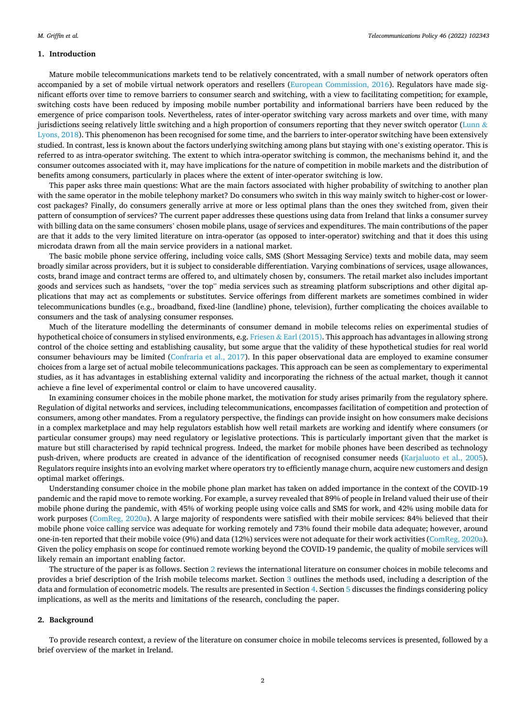## **1. Introduction**

Mature mobile telecommunications markets tend to be relatively concentrated, with a small number of network operators often accompanied by a set of mobile virtual network operators and resellers ([European Commission, 2016\)](#page-18-0). Regulators have made significant efforts over time to remove barriers to consumer search and switching, with a view to facilitating competition; for example, switching costs have been reduced by imposing mobile number portability and informational barriers have been reduced by the emergence of price comparison tools. Nevertheless, rates of inter-operator switching vary across markets and over time, with many jurisdictions seeing relatively little switching and a high proportion of consumers reporting that they never switch operator ([Lunn](#page-19-0)  $\&$ [Lyons, 2018](#page-19-0)). This phenomenon has been recognised for some time, and the barriers to inter-operator switching have been extensively studied. In contrast, less is known about the factors underlying switching among plans but staying with one's existing operator. This is referred to as intra-operator switching. The extent to which intra-operator switching is common, the mechanisms behind it, and the consumer outcomes associated with it, may have implications for the nature of competition in mobile markets and the distribution of benefits among consumers, particularly in places where the extent of inter-operator switching is low.

This paper asks three main questions: What are the main factors associated with higher probability of switching to another plan with the same operator in the mobile telephony market? Do consumers who switch in this way mainly switch to higher-cost or lowercost packages? Finally, do consumers generally arrive at more or less optimal plans than the ones they switched from, given their pattern of consumption of services? The current paper addresses these questions using data from Ireland that links a consumer survey with billing data on the same consumers' chosen mobile plans, usage of services and expenditures. The main contributions of the paper are that it adds to the very limited literature on intra-operator (as opposed to inter-operator) switching and that it does this using microdata drawn from all the main service providers in a national market.

The basic mobile phone service offering, including voice calls, SMS (Short Messaging Service) texts and mobile data, may seem broadly similar across providers, but it is subject to considerable differentiation. Varying combinations of services, usage allowances, costs, brand image and contract terms are offered to, and ultimately chosen by, consumers. The retail market also includes important goods and services such as handsets, "over the top" media services such as streaming platform subscriptions and other digital applications that may act as complements or substitutes. Service offerings from different markets are sometimes combined in wider telecommunications bundles (e.g., broadband, fixed-line (landline) phone, television), further complicating the choices available to consumers and the task of analysing consumer responses.

Much of the literature modelling the determinants of consumer demand in mobile telecoms relies on experimental studies of hypothetical choice of consumers in stylised environments, e.g. Friesen & [Earl \(2015\)](#page-18-0). This approach has advantages in allowing strong control of the choice setting and establishing causality, but some argue that the validity of these hypothetical studies for real world consumer behaviours may be limited ([Confraria et al., 2017\)](#page-18-0). In this paper observational data are employed to examine consumer choices from a large set of actual mobile telecommunications packages. This approach can be seen as complementary to experimental studies, as it has advantages in establishing external validity and incorporating the richness of the actual market, though it cannot achieve a fine level of experimental control or claim to have uncovered causality.

In examining consumer choices in the mobile phone market, the motivation for study arises primarily from the regulatory sphere. Regulation of digital networks and services, including telecommunications, encompasses facilitation of competition and protection of consumers, among other mandates. From a regulatory perspective, the findings can provide insight on how consumers make decisions in a complex marketplace and may help regulators establish how well retail markets are working and identify where consumers (or particular consumer groups) may need regulatory or legislative protections. This is particularly important given that the market is mature but still characterised by rapid technical progress. Indeed, the market for mobile phones have been described as technology push-driven, where products are created in advance of the identification of recognised consumer needs [\(Karjaluoto et al., 2005](#page-18-0)). Regulators require insights into an evolving market where operators try to efficiently manage churn, acquire new customers and design optimal market offerings.

Understanding consumer choice in the mobile phone plan market has taken on added importance in the context of the COVID-19 pandemic and the rapid move to remote working. For example, a survey revealed that 89% of people in Ireland valued their use of their mobile phone during the pandemic, with 45% of working people using voice calls and SMS for work, and 42% using mobile data for work purposes ([ComReg, 2020a](#page-18-0)). A large majority of respondents were satisfied with their mobile services: 84% believed that their mobile phone voice calling service was adequate for working remotely and 73% found their mobile data adequate; however, around one-in-ten reported that their mobile voice (9%) and data (12%) services were not adequate for their work activities ([ComReg, 2020a](#page-18-0)). Given the policy emphasis on scope for continued remote working beyond the COVID-19 pandemic, the quality of mobile services will likely remain an important enabling factor.

The structure of the paper is as follows. Section 2 reviews the international literature on consumer choices in mobile telecoms and provides a brief description of the Irish mobile telecoms market. Section [3](#page-4-0) outlines the methods used, including a description of the data and formulation of econometric models. The results are presented in Section 4. Section [5](#page-9-0) discusses the findings considering policy implications, as well as the merits and limitations of the research, concluding the paper.

## **2. Background**

To provide research context, a review of the literature on consumer choice in mobile telecoms services is presented, followed by a brief overview of the market in Ireland.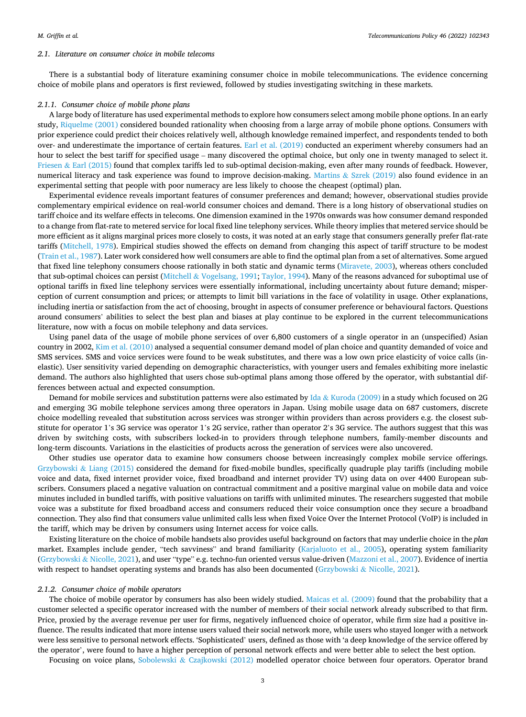#### *2.1. Literature on consumer choice in mobile telecoms*

There is a substantial body of literature examining consumer choice in mobile telecommunications. The evidence concerning choice of mobile plans and operators is first reviewed, followed by studies investigating switching in these markets.

#### *2.1.1. Consumer choice of mobile phone plans*

A large body of literature has used experimental methods to explore how consumers select among mobile phone options. In an early study, [Riquelme \(2001\)](#page-19-0) considered bounded rationality when choosing from a large array of mobile phone options. Consumers with prior experience could predict their choices relatively well, although knowledge remained imperfect, and respondents tended to both over- and underestimate the importance of certain features. [Earl et al. \(2019\)](#page-18-0) conducted an experiment whereby consumers had an hour to select the best tariff for specified usage – many discovered the optimal choice, but only one in twenty managed to select it. Friesen & [Earl \(2015\)](#page-18-0) found that complex tariffs led to sub-optimal decision-making, even after many rounds of feedback. However, numerical literacy and task experience was found to improve decision-making. Martins  $&$  [Szrek \(2019\)](#page-19-0) also found evidence in an experimental setting that people with poor numeracy are less likely to choose the cheapest (optimal) plan.

Experimental evidence reveals important features of consumer preferences and demand; however, observational studies provide complementary empirical evidence on real-world consumer choices and demand. There is a long history of observational studies on tariff choice and its welfare effects in telecoms. One dimension examined in the 1970s onwards was how consumer demand responded to a change from flat-rate to metered service for local fixed line telephony services. While theory implies that metered service should be more efficient as it aligns marginal prices more closely to costs, it was noted at an early stage that consumers generally prefer flat-rate tariffs [\(Mitchell, 1978](#page-19-0)). Empirical studies showed the effects on demand from changing this aspect of tariff structure to be modest [\(Train et al., 1987](#page-19-0)). Later work considered how well consumers are able to find the optimal plan from a set of alternatives. Some argued that fixed line telephony consumers choose rationally in both static and dynamic terms [\(Miravete, 2003](#page-19-0)), whereas others concluded that sub-optimal choices can persist (Mitchell & [Vogelsang, 1991; Taylor, 1994](#page-19-0)). Many of the reasons advanced for suboptimal use of optional tariffs in fixed line telephony services were essentially informational, including uncertainty about future demand; misperception of current consumption and prices; or attempts to limit bill variations in the face of volatility in usage. Other explanations, including inertia or satisfaction from the act of choosing, brought in aspects of consumer preference or behavioural factors. Questions around consumers' abilities to select the best plan and biases at play continue to be explored in the current telecommunications literature, now with a focus on mobile telephony and data services.

Using panel data of the usage of mobile phone services of over 6,800 customers of a single operator in an (unspecified) Asian country in 2002, [Kim et al. \(2010\)](#page-18-0) analysed a sequential consumer demand model of plan choice and quantity demanded of voice and SMS services. SMS and voice services were found to be weak substitutes, and there was a low own price elasticity of voice calls (inelastic). User sensitivity varied depending on demographic characteristics, with younger users and females exhibiting more inelastic demand. The authors also highlighted that users chose sub-optimal plans among those offered by the operator, with substantial differences between actual and expected consumption.

Demand for mobile services and substitution patterns were also estimated by Ida & [Kuroda \(2009\)](#page-18-0) in a study which focused on 2G and emerging 3G mobile telephone services among three operators in Japan. Using mobile usage data on 687 customers, discrete choice modelling revealed that substitution across services was stronger within providers than across providers e.g. the closest substitute for operator 1's 3G service was operator 1's 2G service, rather than operator 2's 3G service. The authors suggest that this was driven by switching costs, with subscribers locked-in to providers through telephone numbers, family-member discounts and long-term discounts. Variations in the elasticities of products across the generation of services were also uncovered.

Other studies use operator data to examine how consumers choose between increasingly complex mobile service offerings. Grzybowski & [Liang \(2015\)](#page-18-0) considered the demand for fixed-mobile bundles, specifically quadruple play tariffs (including mobile voice and data, fixed internet provider voice, fixed broadband and internet provider TV) using data on over 4400 European subscribers. Consumers placed a negative valuation on contractual commitment and a positive marginal value on mobile data and voice minutes included in bundled tariffs, with positive valuations on tariffs with unlimited minutes. The researchers suggested that mobile voice was a substitute for fixed broadband access and consumers reduced their voice consumption once they secure a broadband connection. They also find that consumers value unlimited calls less when fixed Voice Over the Internet Protocol (VoIP) is included in the tariff, which may be driven by consumers using Internet access for voice calls.

Existing literature on the choice of mobile handsets also provides useful background on factors that may underlie choice in the *plan*  market. Examples include gender, "tech savviness" and brand familiarity ([Karjaluoto et al., 2005\)](#page-18-0), operating system familiarity (Grzybowski & [Nicolle, 2021](#page-18-0)), and user "type" e.g. techno-fun oriented versus value-driven ([Mazzoni et al., 2007\)](#page-19-0). Evidence of inertia with respect to handset operating systems and brands has also been documented (Grzybowski & [Nicolle, 2021](#page-18-0)).

#### *2.1.2. Consumer choice of mobile operators*

The choice of mobile operator by consumers has also been widely studied. [Maicas et al. \(2009\)](#page-19-0) found that the probability that a customer selected a specific operator increased with the number of members of their social network already subscribed to that firm. Price, proxied by the average revenue per user for firms, negatively influenced choice of operator, while firm size had a positive influence. The results indicated that more intense users valued their social network more, while users who stayed longer with a network were less sensitive to personal network effects. 'Sophisticated' users, defined as those with 'a deep knowledge of the service offered by the operator', were found to have a higher perception of personal network effects and were better able to select the best option.

Focusing on voice plans, Sobolewski & [Czajkowski \(2012\)](#page-19-0) modelled operator choice between four operators. Operator brand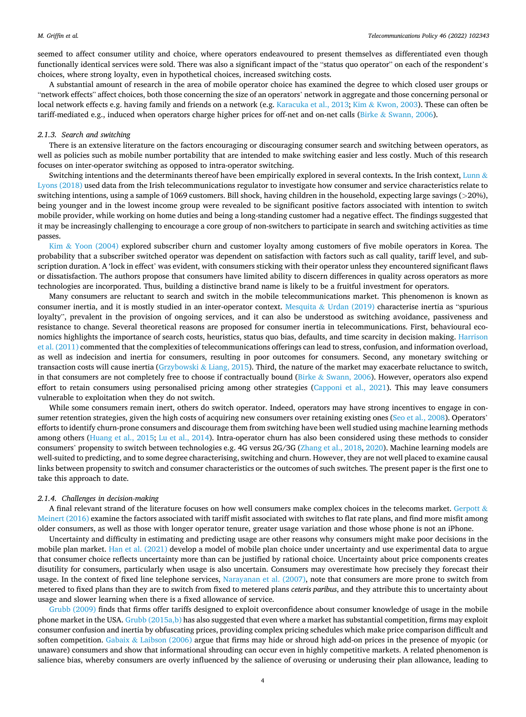seemed to affect consumer utility and choice, where operators endeavoured to present themselves as differentiated even though functionally identical services were sold. There was also a significant impact of the "status quo operator" on each of the respondent's choices, where strong loyalty, even in hypothetical choices, increased switching costs.

A substantial amount of research in the area of mobile operator choice has examined the degree to which closed user groups or "network effects" affect choices, both those concerning the size of an operators' network in aggregate and those concerning personal or local network effects e.g. having family and friends on a network (e.g. [Karacuka et al., 2013](#page-18-0); Kim & [Kwon, 2003\)](#page-18-0). These can often be tariff-mediated e.g., induced when operators charge higher prices for off-net and on-net calls (Birke & [Swann, 2006](#page-18-0)).

#### *2.1.3. Search and switching*

There is an extensive literature on the factors encouraging or discouraging consumer search and switching between operators, as well as policies such as mobile number portability that are intended to make switching easier and less costly. Much of this research focuses on inter-operator switching as opposed to intra-operator switching.

Switching intentions and the determinants thereof have been empirically explored in several contexts**.** In the Irish context, [Lunn](#page-19-0) & [Lyons \(2018\)](#page-19-0) used data from the Irish telecommunications regulator to investigate how consumer and service characteristics relate to switching intentions, using a sample of 1069 customers. Bill shock, having children in the household, expecting large savings (*>*20%), being younger and in the lowest income group were revealed to be significant positive factors associated with intention to switch mobile provider, while working on home duties and being a long-standing customer had a negative effect. The findings suggested that it may be increasingly challenging to encourage a core group of non-switchers to participate in search and switching activities as time passes.

Kim & [Yoon \(2004\)](#page-18-0) explored subscriber churn and customer loyalty among customers of five mobile operators in Korea. The probability that a subscriber switched operator was dependent on satisfaction with factors such as call quality, tariff level, and subscription duration. A 'lock in effect' was evident, with consumers sticking with their operator unless they encountered significant flaws or dissatisfaction. The authors propose that consumers have limited ability to discern differences in quality across operators as more technologies are incorporated. Thus, building a distinctive brand name is likely to be a fruitful investment for operators.

Many consumers are reluctant to search and switch in the mobile telecommunications market. This phenomenon is known as consumer inertia, and it is mostly studied in an inter-operator context. Mesquita & [Urdan \(2019\)](#page-19-0) characterise inertia as "spurious loyalty", prevalent in the provision of ongoing services, and it can also be understood as switching avoidance, passiveness and resistance to change. Several theoretical reasons are proposed for consumer inertia in telecommunications. First, behavioural economics highlights the importance of search costs, heuristics, status quo bias, defaults, and time scarcity in decision making. [Harrison](#page-18-0) [et al. \(2011\)](#page-18-0) commented that the complexities of telecommunications offerings can lead to stress, confusion, and information overload, as well as indecision and inertia for consumers, resulting in poor outcomes for consumers. Second, any monetary switching or transaction costs will cause inertia [\(Grzybowski](#page-18-0) & Liang, 2015). Third, the nature of the market may exacerbate reluctance to switch, in that consumers are not completely free to choose if contractually bound (Birke & [Swann, 2006](#page-18-0)). However, operators also expend effort to retain consumers using personalised pricing among other strategies ([Capponi et al., 2021](#page-18-0)). This may leave consumers vulnerable to exploitation when they do not switch.

While some consumers remain inert, others do switch operator. Indeed, operators may have strong incentives to engage in consumer retention strategies, given the high costs of acquiring new consumers over retaining existing ones ([Seo et al., 2008\)](#page-19-0). Operators' efforts to identify churn-prone consumers and discourage them from switching have been well studied using machine learning methods among others ([Huang et al., 2015; Lu et al., 2014\)](#page-18-0). Intra-operator churn has also been considered using these methods to consider consumers' propensity to switch between technologies e.g. 4G versus 2G/3G [\(Zhang et al., 2018, 2020\)](#page-19-0). Machine learning models are well-suited to predicting, and to some degree characterising, switching and churn. However, they are not well placed to examine causal links between propensity to switch and consumer characteristics or the outcomes of such switches. The present paper is the first one to take this approach to date.

#### *2.1.4. Challenges in decision-making*

A final relevant strand of the literature focuses on how well consumers make complex choices in the telecoms market. [Gerpott](#page-18-0)  $\&$ [Meinert \(2016\)](#page-18-0) examine the factors associated with tariff misfit associated with switches to flat rate plans, and find more misfit among older consumers, as well as those with longer operator tenure, greater usage variation and those whose phone is not an iPhone.

Uncertainty and difficulty in estimating and predicting usage are other reasons why consumers might make poor decisions in the mobile plan market. [Han et al. \(2021\)](#page-18-0) develop a model of mobile plan choice under uncertainty and use experimental data to argue that consumer choice reflects uncertainty more than can be justified by rational choice. Uncertainty about price components creates disutility for consumers, particularly when usage is also uncertain. Consumers may overestimate how precisely they forecast their usage. In the context of fixed line telephone services, [Narayanan et al. \(2007\)](#page-19-0), note that consumers are more prone to switch from metered to fixed plans than they are to switch from fixed to metered plans *ceteris paribus*, and they attribute this to uncertainty about usage and slower learning when there is a fixed allowance of service.

[Grubb \(2009\)](#page-18-0) finds that firms offer tariffs designed to exploit overconfidence about consumer knowledge of usage in the mobile phone market in the USA. [Grubb \(2015a,b\)](#page-18-0) has also suggested that even where a market has substantial competition, firms may exploit consumer confusion and inertia by obfuscating prices, providing complex pricing schedules which make price comparison difficult and soften competition. Gabaix & [Laibson \(2006\)](#page-18-0) argue that firms may hide or shroud high add-on prices in the presence of myopic (or unaware) consumers and show that informational shrouding can occur even in highly competitive markets. A related phenomenon is salience bias, whereby consumers are overly influenced by the salience of overusing or underusing their plan allowance, leading to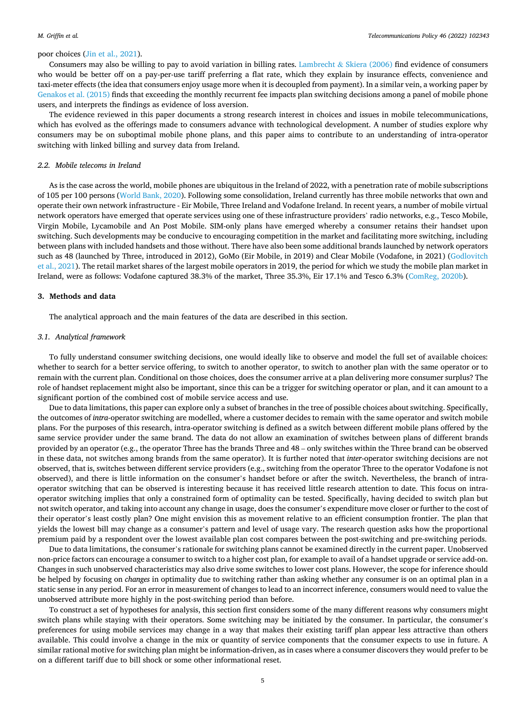## <span id="page-4-0"></span>poor choices ([Jin et al., 2021](#page-18-0)).

Consumers may also be willing to pay to avoid variation in billing rates. Lambrecht  $&$  [Skiera \(2006\)](#page-18-0) find evidence of consumers who would be better off on a pay-per-use tariff preferring a flat rate, which they explain by insurance effects, convenience and taxi-meter effects (the idea that consumers enjoy usage more when it is decoupled from payment). In a similar vein, a working paper by [Genakos et al. \(2015\)](#page-18-0) finds that exceeding the monthly recurrent fee impacts plan switching decisions among a panel of mobile phone users, and interprets the findings as evidence of loss aversion.

The evidence reviewed in this paper documents a strong research interest in choices and issues in mobile telecommunications, which has evolved as the offerings made to consumers advance with technological development. A number of studies explore why consumers may be on suboptimal mobile phone plans, and this paper aims to contribute to an understanding of intra-operator switching with linked billing and survey data from Ireland.

## *2.2. Mobile telecoms in Ireland*

As is the case across the world, mobile phones are ubiquitous in the Ireland of 2022, with a penetration rate of mobile subscriptions of 105 per 100 persons ([World Bank, 2020](#page-19-0)). Following some consolidation, Ireland currently has three mobile networks that own and operate their own network infrastructure - Eir Mobile, Three Ireland and Vodafone Ireland. In recent years, a number of mobile virtual network operators have emerged that operate services using one of these infrastructure providers' radio networks, e.g., Tesco Mobile, Virgin Mobile, Lycamobile and An Post Mobile. SIM-only plans have emerged whereby a consumer retains their handset upon switching. Such developments may be conducive to encouraging competition in the market and facilitating more switching, including between plans with included handsets and those without. There have also been some additional brands launched by network operators such as 48 (launched by Three, introduced in 2012), GoMo (Eir Mobile, in 2019) and Clear Mobile (Vodafone, in 2021) ([Godlovitch](#page-18-0) [et al., 2021](#page-18-0)). The retail market shares of the largest mobile operators in 2019, the period for which we study the mobile plan market in Ireland, were as follows: Vodafone captured 38.3% of the market, Three 35.3%, Eir 17.1% and Tesco 6.3% [\(ComReg, 2020b](#page-18-0)).

## **3. Methods and data**

The analytical approach and the main features of the data are described in this section.

#### *3.1. Analytical framework*

To fully understand consumer switching decisions, one would ideally like to observe and model the full set of available choices: whether to search for a better service offering, to switch to another operator, to switch to another plan with the same operator or to remain with the current plan. Conditional on those choices, does the consumer arrive at a plan delivering more consumer surplus? The role of handset replacement might also be important, since this can be a trigger for switching operator or plan, and it can amount to a significant portion of the combined cost of mobile service access and use.

Due to data limitations, this paper can explore only a subset of branches in the tree of possible choices about switching. Specifically, the outcomes of *intra*-operator switching are modelled, where a customer decides to remain with the same operator and switch mobile plans. For the purposes of this research, intra-operator switching is defined as a switch between different mobile plans offered by the same service provider under the same brand. The data do not allow an examination of switches between plans of different brands provided by an operator (e.g., the operator Three has the brands Three and 48 – only switches within the Three brand can be observed in these data, not switches among brands from the same operator). It is further noted that *inter*-operator switching decisions are not observed, that is, switches between different service providers (e.g., switching from the operator Three to the operator Vodafone is not observed), and there is little information on the consumer's handset before or after the switch. Nevertheless, the branch of intraoperator switching that can be observed is interesting because it has received little research attention to date. This focus on intraoperator switching implies that only a constrained form of optimality can be tested. Specifically, having decided to switch plan but not switch operator, and taking into account any change in usage, does the consumer's expenditure move closer or further to the cost of their operator's least costly plan? One might envision this as movement relative to an efficient consumption frontier. The plan that yields the lowest bill may change as a consumer's pattern and level of usage vary. The research question asks how the proportional premium paid by a respondent over the lowest available plan cost compares between the post-switching and pre-switching periods.

Due to data limitations, the consumer's rationale for switching plans cannot be examined directly in the current paper. Unobserved non-price factors can encourage a consumer to switch to a higher cost plan, for example to avail of a handset upgrade or service add-on. Changes in such unobserved characteristics may also drive some switches to lower cost plans. However, the scope for inference should be helped by focusing on *changes* in optimality due to switching rather than asking whether any consumer is on an optimal plan in a static sense in any period. For an error in measurement of changes to lead to an incorrect inference, consumers would need to value the unobserved attribute more highly in the post-switching period than before.

To construct a set of hypotheses for analysis, this section first considers some of the many different reasons why consumers might switch plans while staying with their operators. Some switching may be initiated by the consumer. In particular, the consumer's preferences for using mobile services may change in a way that makes their existing tariff plan appear less attractive than others available. This could involve a change in the mix or quantity of service components that the consumer expects to use in future. A similar rational motive for switching plan might be information-driven, as in cases where a consumer discovers they would prefer to be on a different tariff due to bill shock or some other informational reset.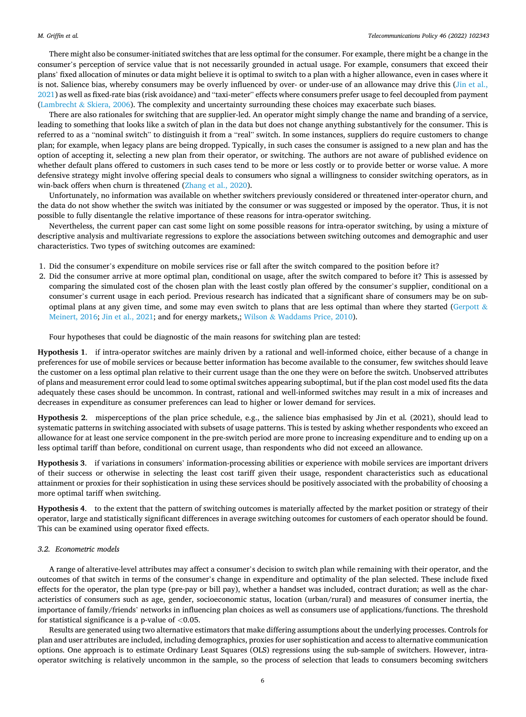<span id="page-5-0"></span>There might also be consumer-initiated switches that are less optimal for the consumer. For example, there might be a change in the consumer's perception of service value that is not necessarily grounded in actual usage. For example, consumers that exceed their plans' fixed allocation of minutes or data might believe it is optimal to switch to a plan with a higher allowance, even in cases where it is not. Salience bias, whereby consumers may be overly influenced by over- or under-use of an allowance may drive this [\(Jin et al.,](#page-18-0) [2021\)](#page-18-0) as well as fixed-rate bias (risk avoidance) and "taxi-meter" effects where consumers prefer usage to feel decoupled from payment (Lambrecht & [Skiera, 2006\)](#page-18-0). The complexity and uncertainty surrounding these choices may exacerbate such biases.

There are also rationales for switching that are supplier-led. An operator might simply change the name and branding of a service, leading to something that looks like a switch of plan in the data but does not change anything substantively for the consumer. This is referred to as a "nominal switch" to distinguish it from a "real" switch. In some instances, suppliers do require customers to change plan; for example, when legacy plans are being dropped. Typically, in such cases the consumer is assigned to a new plan and has the option of accepting it, selecting a new plan from their operator, or switching. The authors are not aware of published evidence on whether default plans offered to customers in such cases tend to be more or less costly or to provide better or worse value. A more defensive strategy might involve offering special deals to consumers who signal a willingness to consider switching operators, as in win-back offers when churn is threatened [\(Zhang et al., 2020](#page-19-0)).

Unfortunately, no information was available on whether switchers previously considered or threatened inter-operator churn, and the data do not show whether the switch was initiated by the consumer or was suggested or imposed by the operator. Thus, it is not possible to fully disentangle the relative importance of these reasons for intra-operator switching.

Nevertheless, the current paper can cast some light on some possible reasons for intra-operator switching, by using a mixture of descriptive analysis and multivariate regressions to explore the associations between switching outcomes and demographic and user characteristics. Two types of switching outcomes are examined:

- 1. Did the consumer's expenditure on mobile services rise or fall after the switch compared to the position before it?
- 2. Did the consumer arrive at more optimal plan, conditional on usage, after the switch compared to before it? This is assessed by comparing the simulated cost of the chosen plan with the least costly plan offered by the consumer's supplier, conditional on a consumer's current usage in each period. Previous research has indicated that a significant share of consumers may be on sub-optimal plans at any given time, and some may even switch to plans that are less optimal than where they started [\(Gerpott](#page-18-0)  $\&$ [Meinert, 2016](#page-18-0); [Jin et al., 2021](#page-18-0); and for energy markets,; Wilson & [Waddams Price, 2010](#page-19-0)).

Four hypotheses that could be diagnostic of the main reasons for switching plan are tested:

**Hypothesis 1**. if intra-operator switches are mainly driven by a rational and well-informed choice, either because of a change in preferences for use of mobile services or because better information has become available to the consumer, few switches should leave the customer on a less optimal plan relative to their current usage than the one they were on before the switch. Unobserved attributes of plans and measurement error could lead to some optimal switches appearing suboptimal, but if the plan cost model used fits the data adequately these cases should be uncommon. In contrast, rational and well-informed switches may result in a mix of increases and decreases in expenditure as consumer preferences can lead to higher or lower demand for services.

**Hypothesis 2**. misperceptions of the plan price schedule, e.g., the salience bias emphasised by Jin et al*.* (2021), should lead to systematic patterns in switching associated with subsets of usage patterns. This is tested by asking whether respondents who exceed an allowance for at least one service component in the pre-switch period are more prone to increasing expenditure and to ending up on a less optimal tariff than before, conditional on current usage, than respondents who did not exceed an allowance.

**Hypothesis 3**. if variations in consumers' information-processing abilities or experience with mobile services are important drivers of their success or otherwise in selecting the least cost tariff given their usage, respondent characteristics such as educational attainment or proxies for their sophistication in using these services should be positively associated with the probability of choosing a more optimal tariff when switching.

**Hypothesis 4**. to the extent that the pattern of switching outcomes is materially affected by the market position or strategy of their operator, large and statistically significant differences in average switching outcomes for customers of each operator should be found. This can be examined using operator fixed effects.

## *3.2. Econometric models*

A range of alterative-level attributes may affect a consumer's decision to switch plan while remaining with their operator, and the outcomes of that switch in terms of the consumer's change in expenditure and optimality of the plan selected. These include fixed effects for the operator, the plan type (pre-pay or bill pay), whether a handset was included, contract duration; as well as the characteristics of consumers such as age, gender, socioeconomic status, location (urban/rural) and measures of consumer inertia, the importance of family/friends' networks in influencing plan choices as well as consumers use of applications/functions. The threshold for statistical significance is a p-value of *<*0.05.

Results are generated using two alternative estimators that make differing assumptions about the underlying processes. Controls for plan and user attributes are included, including demographics, proxies for user sophistication and access to alternative communication options. One approach is to estimate Ordinary Least Squares (OLS) regressions using the sub-sample of switchers. However, intraoperator switching is relatively uncommon in the sample, so the process of selection that leads to consumers becoming switchers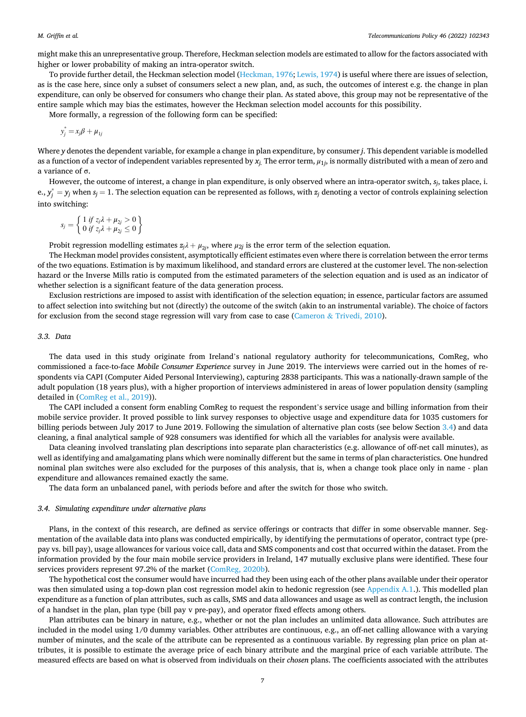might make this an unrepresentative group. Therefore, Heckman selection models are estimated to allow for the factors associated with higher or lower probability of making an intra-operator switch.

To provide further detail, the Heckman selection model [\(Heckman, 1976; Lewis, 1974\)](#page-18-0) is useful where there are issues of selection, as is the case here, since only a subset of consumers select a new plan, and, as such, the outcomes of interest e.g. the change in plan expenditure, can only be observed for consumers who change their plan. As stated above, this group may not be representative of the entire sample which may bias the estimates, however the Heckman selection model accounts for this possibility.

More formally, a regression of the following form can be specified:

$$
y_j^* = x_j \beta + \mu_{1j}
$$

Where *y* denotes the dependent variable, for example a change in plan expenditure, by consumer *j*. This dependent variable is modelled as a function of a vector of independent variables represented by  $x_i$ . The error term,  $\mu_{1i}$ , is normally distributed with a mean of zero and a variance of σ.

However, the outcome of interest, a change in plan expenditure, is only observed where an intra-operator switch, *sj*, takes place, i. e.,  $y_j^* = y_j$  when  $s_j = 1$ . The selection equation can be represented as follows, with  $z_j$  denoting a vector of controls explaining selection into switching:

$$
s_j = \left\{ \begin{array}{l} 1 \text{ if } z_j \lambda + \mu_{2j} > 0 \\ 0 \text{ if } z_j \lambda + \mu_{2j} \le 0 \end{array} \right\}
$$

Probit regression modelling estimates  $z_j\lambda + \mu_{2j}$ , where  $\mu_{2j}$  is the error term of the selection equation.

The Heckman model provides consistent, asymptotically efficient estimates even where there is correlation between the error terms of the two equations. Estimation is by maximum likelihood, and standard errors are clustered at the customer level. The non-selection hazard or the Inverse Mills ratio is computed from the estimated parameters of the selection equation and is used as an indicator of whether selection is a significant feature of the data generation process.

Exclusion restrictions are imposed to assist with identification of the selection equation; in essence, particular factors are assumed to affect selection into switching but not (directly) the outcome of the switch (akin to an instrumental variable). The choice of factors for exclusion from the second stage regression will vary from case to case (Cameron & [Trivedi, 2010](#page-18-0)).

## *3.3. Data*

The data used in this study originate from Ireland's national regulatory authority for telecommunications, ComReg, who commissioned a face-to-face *Mobile Consumer Experience* survey in June 2019. The interviews were carried out in the homes of respondents via CAPI (Computer Aided Personal Interviewing), capturing 2838 participants. This was a nationally-drawn sample of the adult population (18 years plus), with a higher proportion of interviews administered in areas of lower population density (sampling detailed in [\(ComReg et al., 2019](#page-18-0))).

The CAPI included a consent form enabling ComReg to request the respondent's service usage and billing information from their mobile service provider. It proved possible to link survey responses to objective usage and expenditure data for 1035 customers for billing periods between July 2017 to June 2019. Following the simulation of alternative plan costs (see below Section 3.4) and data cleaning, a final analytical sample of 928 consumers was identified for which all the variables for analysis were available.

Data cleaning involved translating plan descriptions into separate plan characteristics (e.g. allowance of off-net call minutes), as well as identifying and amalgamating plans which were nominally different but the same in terms of plan characteristics. One hundred nominal plan switches were also excluded for the purposes of this analysis, that is, when a change took place only in name - plan expenditure and allowances remained exactly the same.

The data form an unbalanced panel, with periods before and after the switch for those who switch.

#### *3.4. Simulating expenditure under alternative plans*

Plans, in the context of this research, are defined as service offerings or contracts that differ in some observable manner. Segmentation of the available data into plans was conducted empirically, by identifying the permutations of operator, contract type (prepay vs. bill pay), usage allowances for various voice call, data and SMS components and cost that occurred within the dataset. From the information provided by the four main mobile service providers in Ireland, 147 mutually exclusive plans were identified. These four services providers represent 97.2% of the market ([ComReg, 2020b](#page-18-0)).

The hypothetical cost the consumer would have incurred had they been using each of the other plans available under their operator was then simulated using a top-down plan cost regression model akin to hedonic regression (see [Appendix A.1](#page-14-0).). This modelled plan expenditure as a function of plan attributes, such as calls, SMS and data allowances and usage as well as contract length, the inclusion of a handset in the plan, plan type (bill pay v pre-pay), and operator fixed effects among others.

Plan attributes can be binary in nature, e.g., whether or not the plan includes an unlimited data allowance. Such attributes are included in the model using 1/0 dummy variables. Other attributes are continuous, e.g., an off-net calling allowance with a varying number of minutes, and the scale of the attribute can be represented as a continuous variable. By regressing plan price on plan attributes, it is possible to estimate the average price of each binary attribute and the marginal price of each variable attribute. The measured effects are based on what is observed from individuals on their *chosen* plans. The coefficients associated with the attributes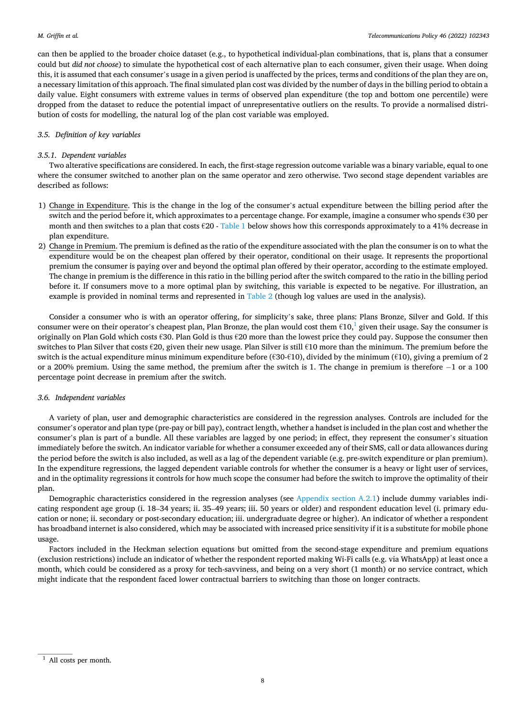can then be applied to the broader choice dataset (e.g., to hypothetical individual-plan combinations, that is, plans that a consumer could but *did not choose*) to simulate the hypothetical cost of each alternative plan to each consumer, given their usage. When doing this, it is assumed that each consumer's usage in a given period is unaffected by the prices, terms and conditions of the plan they are on, a necessary limitation of this approach. The final simulated plan cost was divided by the number of days in the billing period to obtain a daily value. Eight consumers with extreme values in terms of observed plan expenditure (the top and bottom one percentile) were dropped from the dataset to reduce the potential impact of unrepresentative outliers on the results. To provide a normalised distribution of costs for modelling, the natural log of the plan cost variable was employed.

## *3.5. Definition of key variables*

## *3.5.1. Dependent variables*

Two alterative specifications are considered. In each, the first-stage regression outcome variable was a binary variable, equal to one where the consumer switched to another plan on the same operator and zero otherwise. Two second stage dependent variables are described as follows:

- 1) Change in Expenditure. This is the change in the log of the consumer's actual expenditure between the billing period after the switch and the period before it, which approximates to a percentage change. For example, imagine a consumer who spends €30 per month and then switches to a plan that costs  $\epsilon$ 20 - [Table 1](#page-8-0) below shows how this corresponds approximately to a 41% decrease in plan expenditure.
- 2) Change in Premium. The premium is defined as the ratio of the expenditure associated with the plan the consumer is on to what the expenditure would be on the cheapest plan offered by their operator, conditional on their usage. It represents the proportional premium the consumer is paying over and beyond the optimal plan offered by their operator, according to the estimate employed. The change in premium is the difference in this ratio in the billing period after the switch compared to the ratio in the billing period before it. If consumers move to a more optimal plan by switching, this variable is expected to be negative. For illustration, an example is provided in nominal terms and represented in [Table 2](#page-8-0) (though log values are used in the analysis).

Consider a consumer who is with an operator offering, for simplicity's sake, three plans: Plans Bronze, Silver and Gold. If this consumer were on their operator's cheapest plan, Plan Bronze, the plan would cost them  $\epsilon 10$ , given their usage. Say the consumer is originally on Plan Gold which costs €30. Plan Gold is thus €20 more than the lowest price they could pay. Suppose the consumer then switches to Plan Silver that costs €20, given their new usage. Plan Silver is still €10 more than the minimum. The premium before the switch is the actual expenditure minus minimum expenditure before ( $\epsilon$ 30- $\epsilon$ 10), divided by the minimum ( $\epsilon$ 10), giving a premium of 2 or a 200% premium. Using the same method, the premium after the switch is 1. The change in premium is therefore − 1 or a 100 percentage point decrease in premium after the switch.

### *3.6. Independent variables*

A variety of plan, user and demographic characteristics are considered in the regression analyses. Controls are included for the consumer's operator and plan type (pre-pay or bill pay), contract length, whether a handset is included in the plan cost and whether the consumer's plan is part of a bundle. All these variables are lagged by one period; in effect, they represent the consumer's situation immediately before the switch. An indicator variable for whether a consumer exceeded any of their SMS, call or data allowances during the period before the switch is also included, as well as a lag of the dependent variable (e.g. pre-switch expenditure or plan premium). In the expenditure regressions, the lagged dependent variable controls for whether the consumer is a heavy or light user of services, and in the optimality regressions it controls for how much scope the consumer had before the switch to improve the optimality of their plan.

Demographic characteristics considered in the regression analyses (see [Appendix section A.2.1\)](#page-14-0) include dummy variables indicating respondent age group (i. 18–34 years; ii. 35–49 years; iii. 50 years or older) and respondent education level (i. primary education or none; ii. secondary or post-secondary education; iii. undergraduate degree or higher). An indicator of whether a respondent has broadband internet is also considered, which may be associated with increased price sensitivity if it is a substitute for mobile phone usage.

Factors included in the Heckman selection equations but omitted from the second-stage expenditure and premium equations (exclusion restrictions) include an indicator of whether the respondent reported making Wi-Fi calls (e.g. via WhatsApp) at least once a month, which could be considered as a proxy for tech-savviness, and being on a very short (1 month) or no service contract, which might indicate that the respondent faced lower contractual barriers to switching than those on longer contracts.

<sup>&</sup>lt;sup>1</sup> All costs per month.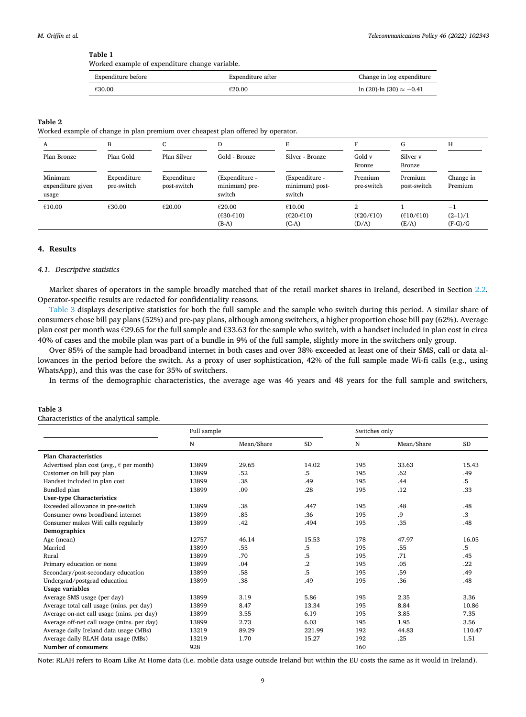## <span id="page-8-0"></span>**Table 1**

Worked example of expenditure change variable.

| Expenditure before | Expenditure after | Change in log expenditure         |  |
|--------------------|-------------------|-----------------------------------|--|
| €30.00             | €20.00            | $ln(20)$ - $ln(30) \approx -0.41$ |  |

# **Table 2**

Worked example of change in plan premium over cheapest plan offered by operator.

| A                                     | В                         | $\sqrt{2}$<br>ι.           | D                                                                      | F.                                                 |                                            | G                                          | Н                              |
|---------------------------------------|---------------------------|----------------------------|------------------------------------------------------------------------|----------------------------------------------------|--------------------------------------------|--------------------------------------------|--------------------------------|
| Plan Bronze                           | Plan Gold                 | Plan Silver                | Gold - Bronze                                                          | Silver - Bronze                                    | Gold v<br>Bronze                           | Silver v<br>Bronze                         |                                |
| Minimum<br>expenditure given<br>usage | Expenditure<br>pre-switch | Expenditure<br>post-switch | (Expenditure -<br>minimum) pre-<br>switch                              | (Expenditure -<br>minimum) post-<br>switch         | Premium<br>pre-switch                      | Premium<br>post-switch                     | Change in<br>Premium           |
| €10.00                                | €30.00                    | €20.00                     | €20.00<br>$(\text{\textsterling}30-\text{\textsterling}10)$<br>$(B-A)$ | €10.00<br>$(\epsilon 20 - \epsilon 10)$<br>$(C-A)$ | $(\varepsilon 20/\varepsilon 10)$<br>(D/A) | $(\varepsilon 10/\varepsilon 10)$<br>(E/A) | $-1$<br>$(2-1)/1$<br>$(F-G)/G$ |

## **4. Results**

#### *4.1. Descriptive statistics*

Market shares of operators in the sample broadly matched that of the retail market shares in Ireland, described in Section [2.2](#page-4-0). Operator-specific results are redacted for confidentiality reasons.

Table 3 displays descriptive statistics for both the full sample and the sample who switch during this period. A similar share of consumers chose bill pay plans (52%) and pre-pay plans, although among switchers, a higher proportion chose bill pay (62%). Average plan cost per month was €29.65 for the full sample and €33.63 for the sample who switch, with a handset included in plan cost in circa 40% of cases and the mobile plan was part of a bundle in 9% of the full sample, slightly more in the switchers only group.

Over 85% of the sample had broadband internet in both cases and over 38% exceeded at least one of their SMS, call or data allowances in the period before the switch. As a proxy of user sophistication, 42% of the full sample made Wi-fi calls (e.g., using WhatsApp), and this was the case for 35% of switchers.

In terms of the demographic characteristics, the average age was 46 years and 48 years for the full sample and switchers,

## **Table 3**  Characteristics of the analytical sample.

|                                                   | Full sample |            |           | Switches only |            |           |
|---------------------------------------------------|-------------|------------|-----------|---------------|------------|-----------|
|                                                   | N           | Mean/Share | <b>SD</b> | N             | Mean/Share | <b>SD</b> |
| <b>Plan Characteristics</b>                       |             |            |           |               |            |           |
| Advertised plan cost (avg., $\epsilon$ per month) | 13899       | 29.65      | 14.02     | 195           | 33.63      | 15.43     |
| Customer on bill pay plan                         | 13899       | .52        | .5        | 195           | .62        | .49       |
| Handset included in plan cost                     | 13899       | .38        | .49       | 195           | .44        | .5        |
| Bundled plan                                      | 13899       | .09        | .28       | 195           | .12        | .33       |
| <b>User-type Characteristics</b>                  |             |            |           |               |            |           |
| Exceeded allowance in pre-switch                  | 13899       | .38        | .447      | 195           | .48        | .48       |
| Consumer owns broadband internet                  | 13899       | .85        | .36       | 195           | .9         | .3        |
| Consumer makes Wifi calls regularly               | 13899       | .42        | .494      | 195           | .35        | .48       |
| Demographics                                      |             |            |           |               |            |           |
| Age (mean)                                        | 12757       | 46.14      | 15.53     | 178           | 47.97      | 16.05     |
| Married                                           | 13899       | .55        | .5        | 195           | .55        | .5        |
| Rural                                             | 13899       | .70        | .5        | 195           | .71        | .45       |
| Primary education or none                         | 13899       | .04        | $\cdot^2$ | 195           | .05        | .22       |
| Secondary/post-secondary education                | 13899       | .58        | .5        | 195           | .59        | .49       |
| Undergrad/postgrad education                      | 13899       | .38        | .49       | 195           | .36        | .48       |
| Usage variables                                   |             |            |           |               |            |           |
| Average SMS usage (per day)                       | 13899       | 3.19       | 5.86      | 195           | 2.35       | 3.36      |
| Average total call usage (mins. per day)          | 13899       | 8.47       | 13.34     | 195           | 8.84       | 10.86     |
| Average on-net call usage (mins. per day)         | 13899       | 3.55       | 6.19      | 195           | 3.85       | 7.35      |
| Average off-net call usage (mins. per day)        | 13899       | 2.73       | 6.03      | 195           | 1.95       | 3.56      |
| Average daily Ireland data usage (MBs)            | 13219       | 89.29      | 221.99    | 192           | 44.83      | 110.47    |
| Average daily RLAH data usage (MBs)               | 13219       | 1.70       | 15.27     | 192           | .25        | 1.51      |
| Number of consumers                               | 928         |            |           | 160           |            |           |

Note: RLAH refers to Roam Like At Home data (i.e. mobile data usage outside Ireland but within the EU costs the same as it would in Ireland).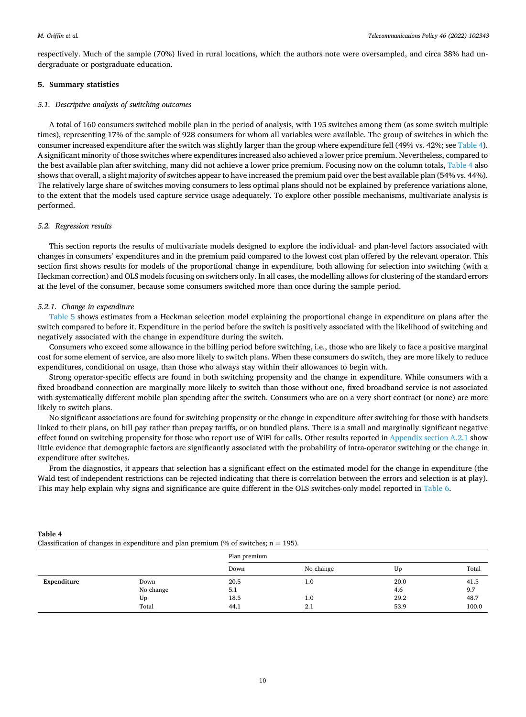<span id="page-9-0"></span>respectively. Much of the sample (70%) lived in rural locations, which the authors note were oversampled, and circa 38% had undergraduate or postgraduate education.

## **5. Summary statistics**

### *5.1. Descriptive analysis of switching outcomes*

A total of 160 consumers switched mobile plan in the period of analysis, with 195 switches among them (as some switch multiple times), representing 17% of the sample of 928 consumers for whom all variables were available. The group of switches in which the consumer increased expenditure after the switch was slightly larger than the group where expenditure fell (49% vs. 42%; see Table 4). A significant minority of those switches where expenditures increased also achieved a lower price premium. Nevertheless, compared to the best available plan after switching, many did not achieve a lower price premium. Focusing now on the column totals, Table 4 also shows that overall, a slight majority of switches appear to have increased the premium paid over the best available plan (54% vs. 44%). The relatively large share of switches moving consumers to less optimal plans should not be explained by preference variations alone, to the extent that the models used capture service usage adequately. To explore other possible mechanisms, multivariate analysis is performed.

## *5.2. Regression results*

This section reports the results of multivariate models designed to explore the individual- and plan-level factors associated with changes in consumers' expenditures and in the premium paid compared to the lowest cost plan offered by the relevant operator. This section first shows results for models of the proportional change in expenditure, both allowing for selection into switching (with a Heckman correction) and OLS models focusing on switchers only. In all cases, the modelling allows for clustering of the standard errors at the level of the consumer, because some consumers switched more than once during the sample period.

## *5.2.1. Change in expenditure*

[Table 5](#page-10-0) shows estimates from a Heckman selection model explaining the proportional change in expenditure on plans after the switch compared to before it. Expenditure in the period before the switch is positively associated with the likelihood of switching and negatively associated with the change in expenditure during the switch.

Consumers who exceed some allowance in the billing period before switching, i.e., those who are likely to face a positive marginal cost for some element of service, are also more likely to switch plans. When these consumers do switch, they are more likely to reduce expenditures, conditional on usage, than those who always stay within their allowances to begin with.

Strong operator-specific effects are found in both switching propensity and the change in expenditure. While consumers with a fixed broadband connection are marginally more likely to switch than those without one, fixed broadband service is not associated with systematically different mobile plan spending after the switch. Consumers who are on a very short contract (or none) are more likely to switch plans.

No significant associations are found for switching propensity or the change in expenditure after switching for those with handsets linked to their plans, on bill pay rather than prepay tariffs, or on bundled plans. There is a small and marginally significant negative effect found on switching propensity for those who report use of WiFi for calls. Other results reported in [Appendix section A.2.1](#page-14-0) show little evidence that demographic factors are significantly associated with the probability of intra-operator switching or the change in expenditure after switches.

From the diagnostics, it appears that selection has a significant effect on the estimated model for the change in expenditure (the Wald test of independent restrictions can be rejected indicating that there is correlation between the errors and selection is at play). This may help explain why signs and significance are quite different in the OLS switches-only model reported in [Table 6](#page-10-0).

|             | Classification of changes in expenditure and plan premium (% of switches; $n = 195$ ). |              |           |      |       |  |  |
|-------------|----------------------------------------------------------------------------------------|--------------|-----------|------|-------|--|--|
|             |                                                                                        | Plan premium |           |      |       |  |  |
|             |                                                                                        | Down         | No change | Up   | Total |  |  |
| Expenditure | Down                                                                                   | 20.5         | 1.0       | 20.0 | 41.5  |  |  |
|             | No change                                                                              | 5.1          |           | 4.6  | 9.7   |  |  |
|             | Up                                                                                     | 18.5         | 1.0       | 29.2 | 48.7  |  |  |
|             | Total                                                                                  | 44.1         | 2.1       | 53.9 | 100.0 |  |  |

**Table 4**  Classification of changes in expenditure and plan premium (% of switches; n = 195).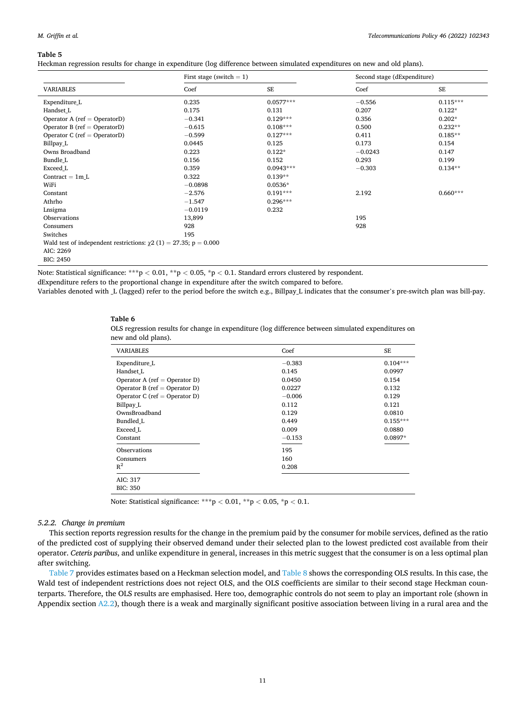#### <span id="page-10-0"></span>*M. Griffin et al.*

#### **Table 5**

Heckman regression results for change in expenditure (log difference between simulated expenditures on new and old plans).

| First stage (switch $= 1$ )                                            |           |             | Second stage (dExpenditure) |            |  |
|------------------------------------------------------------------------|-----------|-------------|-----------------------------|------------|--|
| <b>VARIABLES</b>                                                       | Coef      | <b>SE</b>   | Coef                        | $\rm SE$   |  |
| Expenditure L                                                          | 0.235     | $0.0577***$ | $-0.556$                    | $0.115***$ |  |
| Handset L                                                              | 0.175     | 0.131       | 0.207                       | $0.122*$   |  |
| Operator A (ref = OperatorD)                                           | $-0.341$  | $0.129***$  | 0.356                       | $0.202*$   |  |
| Operator B ( $ref = OperatorD$ )                                       | $-0.615$  | $0.108***$  | 0.500                       | $0.232**$  |  |
| Operator C ( $ref = OperatorD$ )                                       | $-0.599$  | $0.127***$  | 0.411                       | $0.185**$  |  |
| Billpay_L                                                              | 0.0445    | 0.125       | 0.173                       | 0.154      |  |
| Owns Broadband                                                         | 0.223     | $0.122*$    | $-0.0243$                   | 0.147      |  |
| Bundle L                                                               | 0.156     | 0.152       | 0.293                       | 0.199      |  |
| Exceed L                                                               | 0.359     | $0.0943***$ | $-0.303$                    | $0.134**$  |  |
| Contract $= 1m L$                                                      | 0.322     | $0.139**$   |                             |            |  |
| WiFi                                                                   | $-0.0898$ | $0.0536*$   |                             |            |  |
| Constant                                                               | $-2.576$  | $0.191***$  | 2.192                       | $0.660***$ |  |
| Athrho                                                                 | $-1.547$  | $0.296***$  |                             |            |  |
| Lnsigma                                                                | $-0.0119$ | 0.232       |                             |            |  |
| Observations                                                           | 13,899    |             | 195                         |            |  |
| Consumers                                                              | 928       |             | 928                         |            |  |
| Switches                                                               | 195       |             |                             |            |  |
| Wald test of independent restrictions: $\chi$ 2 (1) = 27.35; p = 0.000 |           |             |                             |            |  |
| AIC: 2269                                                              |           |             |                             |            |  |
| BIC: 2450                                                              |           |             |                             |            |  |

Note: Statistical significance: \*\*\*p *<* 0.01, \*\*p *<* 0.05, \*p *<* 0.1. Standard errors clustered by respondent.

dExpenditure refers to the proportional change in expenditure after the switch compared to before.

Variables denoted with L (lagged) refer to the period before the switch e.g., Billpay L indicates that the consumer's pre-switch plan was bill-pay.

#### **Table 6**

OLS regression results for change in expenditure (log difference between simulated expenditures on new and old plans).

| <b>VARIABLES</b>              | Coef     | SE         |
|-------------------------------|----------|------------|
| Expenditure L                 | $-0.383$ | $0.104***$ |
| Handset L                     | 0.145    | 0.0997     |
| Operator A (ref = Operator D) | 0.0450   | 0.154      |
| Operator B (ref = Operator D) | 0.0227   | 0.132      |
| Operator C (ref = Operator D) | $-0.006$ | 0.129      |
| Billpay L                     | 0.112    | 0.121      |
| OwnsBroadband                 | 0.129    | 0.0810     |
| Bundled L                     | 0.449    | $0.155***$ |
| Exceed L                      | 0.009    | 0.0880     |
| Constant                      | $-0.153$ | 0.0897*    |
| Observations                  | 195      |            |
| Consumers                     | 160      |            |
| $R^2$                         | 0.208    |            |
| AIC: 317                      |          |            |
| <b>BIC: 350</b>               |          |            |

Note: Statistical significance: \*\*\*p *<* 0.01, \*\*p *<* 0.05, \*p *<* 0.1.

## *5.2.2. Change in premium*

This section reports regression results for the change in the premium paid by the consumer for mobile services, defined as the ratio of the predicted cost of supplying their observed demand under their selected plan to the lowest predicted cost available from their operator. *Ceteris paribus*, and unlike expenditure in general, increases in this metric suggest that the consumer is on a less optimal plan after switching.

[Table 7](#page-11-0) provides estimates based on a Heckman selection model, and [Table 8](#page-11-0) shows the corresponding OLS results. In this case, the Wald test of independent restrictions does not reject OLS, and the OLS coefficients are similar to their second stage Heckman counterparts. Therefore, the OLS results are emphasised. Here too, demographic controls do not seem to play an important role (shown in Appendix section [A2.2](#page-4-0)), though there is a weak and marginally significant positive association between living in a rural area and the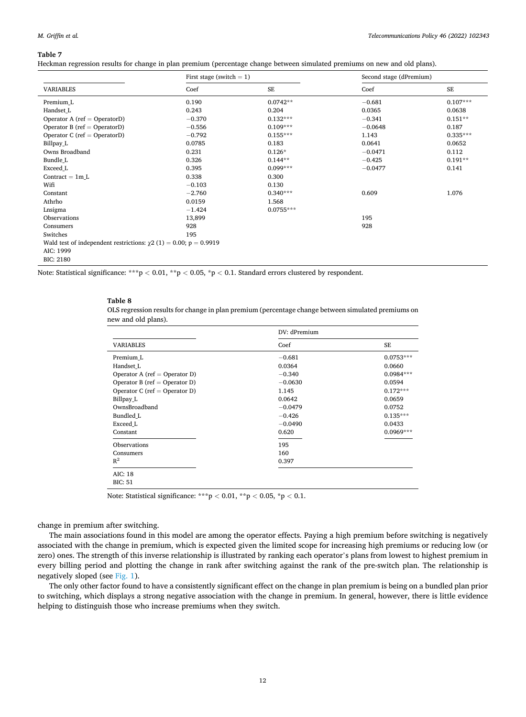#### <span id="page-11-0"></span>*M. Griffin et al.*

#### **Table 7**

Heckman regression results for change in plan premium (percentage change between simulated premiums on new and old plans).

|                                                                        | First stage (switch $= 1$ ) |             | Second stage (dPremium) |            |
|------------------------------------------------------------------------|-----------------------------|-------------|-------------------------|------------|
| <b>VARIABLES</b>                                                       | Coef                        | <b>SE</b>   | Coef                    | <b>SE</b>  |
| Premium L                                                              | 0.190                       | $0.0742**$  | $-0.681$                | $0.107***$ |
| Handset L                                                              | 0.243                       | 0.204       | 0.0365                  | 0.0638     |
| Operator A (ref = OperatorD)                                           | $-0.370$                    | $0.132***$  | $-0.341$                | $0.151**$  |
| Operator B (ref = OperatorD)                                           | $-0.556$                    | $0.109***$  | $-0.0648$               | 0.187      |
| Operator C ( $ref = OperatorD$ )                                       | $-0.792$                    | $0.155***$  | 1.143                   | $0.335***$ |
| Billpay L                                                              | 0.0785                      | 0.183       | 0.0641                  | 0.0652     |
| Owns Broadband                                                         | 0.231                       | $0.126*$    | $-0.0471$               | 0.112      |
| Bundle L                                                               | 0.326                       | $0.144**$   | $-0.425$                | $0.191**$  |
| Exceed L                                                               | 0.395                       | $0.099***$  | $-0.0477$               | 0.141      |
| Contract $= 1m L$                                                      | 0.338                       | 0.300       |                         |            |
| Wifi                                                                   | $-0.103$                    | 0.130       |                         |            |
| Constant                                                               | $-2.760$                    | $0.340***$  | 0.609                   | 1.076      |
| Athrho                                                                 | 0.0159                      | 1.568       |                         |            |
| Lnsigma                                                                | $-1.424$                    | $0.0755***$ |                         |            |
| Observations                                                           | 13,899                      |             | 195                     |            |
| Consumers                                                              | 928                         |             | 928                     |            |
| Switches                                                               | 195                         |             |                         |            |
| Wald test of independent restrictions: $\chi$ 2 (1) = 0.00; p = 0.9919 |                             |             |                         |            |
| AIC: 1999                                                              |                             |             |                         |            |
| <b>BIC: 2180</b>                                                       |                             |             |                         |            |

Note: Statistical significance: \*\*\*p *<* 0.01, \*\*p *<* 0.05, \*p *<* 0.1. Standard errors clustered by respondent.

#### **Table 8**

OLS regression results for change in plan premium (percentage change between simulated premiums on new and old plans).

|                               | DV: dPremium |             |  |
|-------------------------------|--------------|-------------|--|
| <b>VARIABLES</b>              | Coef         | <b>SE</b>   |  |
| Premium L                     | $-0.681$     | $0.0753***$ |  |
| Handset L                     | 0.0364       | 0.0660      |  |
| Operator A (ref = Operator D) | $-0.340$     | $0.0984***$ |  |
| Operator B (ref = Operator D) | $-0.0630$    | 0.0594      |  |
| Operator C (ref = Operator D) | 1.145        | $0.172***$  |  |
| Billpay L                     | 0.0642       | 0.0659      |  |
| OwnsBroadband                 | $-0.0479$    | 0.0752      |  |
| Bundled L                     | $-0.426$     | $0.135***$  |  |
| Exceed L                      | $-0.0490$    | 0.0433      |  |
| Constant                      | 0.620        | $0.0969***$ |  |
| Observations                  | 195          |             |  |
| Consumers                     | 160          |             |  |
| $R^2$                         | 0.397        |             |  |
| AIC: 18                       |              |             |  |
| <b>BIC: 51</b>                |              |             |  |

Note: Statistical significance: \*\*\*p *<* 0.01, \*\*p *<* 0.05, \*p *<* 0.1.

change in premium after switching.

The main associations found in this model are among the operator effects. Paying a high premium before switching is negatively associated with the change in premium, which is expected given the limited scope for increasing high premiums or reducing low (or zero) ones. The strength of this inverse relationship is illustrated by ranking each operator's plans from lowest to highest premium in every billing period and plotting the change in rank after switching against the rank of the pre-switch plan. The relationship is negatively sloped (see [Fig. 1](#page-12-0)).

The only other factor found to have a consistently significant effect on the change in plan premium is being on a bundled plan prior to switching, which displays a strong negative association with the change in premium. In general, however, there is little evidence helping to distinguish those who increase premiums when they switch.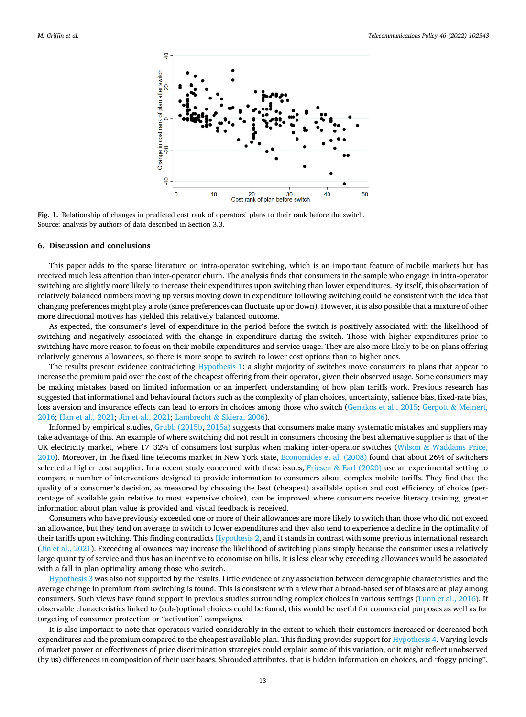<span id="page-12-0"></span>

**Fig. 1.** Relationship of changes in predicted cost rank of operators' plans to their rank before the switch. Source: analysis by authors of data described in Section 3.3.

#### **6. Discussion and conclusions**

This paper adds to the sparse literature on intra-operator switching, which is an important feature of mobile markets but has received much less attention than inter-operator churn. The analysis finds that consumers in the sample who engage in intra-operator switching are slightly more likely to increase their expenditures upon switching than lower expenditures. By itself, this observation of relatively balanced numbers moving up versus moving down in expenditure following switching could be consistent with the idea that changing preferences might play a role (since preferences can fluctuate up or down). However, it is also possible that a mixture of other more directional motives has yielded this relatively balanced outcome.

As expected, the consumer's level of expenditure in the period before the switch is positively associated with the likelihood of switching and negatively associated with the change in expenditure during the switch. Those with higher expenditures prior to switching have more reason to focus on their mobile expenditures and service usage. They are also more likely to be on plans offering relatively generous allowances, so there is more scope to switch to lower cost options than to higher ones.

The results present evidence contradicting [Hypothesis 1](#page-5-0): a slight majority of switches move consumers to plans that appear to increase the premium paid over the cost of the cheapest offering from their operator, given their observed usage. Some consumers may be making mistakes based on limited information or an imperfect understanding of how plan tariffs work. Previous research has suggested that informational and behavioural factors such as the complexity of plan choices, uncertainty, salience bias, fixed-rate bias, loss aversion and insurance effects can lead to errors in choices among those who switch [\(Genakos et al., 2015; Gerpott](#page-18-0) & Meinert, [2016;](#page-18-0) [Han et al., 2021; Jin et al., 2021;](#page-18-0) Lambrecht & [Skiera, 2006](#page-18-0)).

Informed by empirical studies, [Grubb \(2015b, 2015a\)](#page-18-0) suggests that consumers make many systematic mistakes and suppliers may take advantage of this. An example of where switching did not result in consumers choosing the best alternative supplier is that of the UK electricity market, where 17-32% of consumers lost surplus when making inter-operator switches (Wilson & [Waddams Price,](#page-19-0) [2010\)](#page-19-0). Moreover, in the fixed line telecoms market in New York state, [Economides et al. \(2008\)](#page-18-0) found that about 26% of switchers selected a higher cost supplier. In a recent study concerned with these issues, Friesen & [Earl \(2020\)](#page-18-0) use an experimental setting to compare a number of interventions designed to provide information to consumers about complex mobile tariffs. They find that the quality of a consumer's decision, as measured by choosing the best (cheapest) available option and cost efficiency of choice (percentage of available gain relative to most expensive choice), can be improved where consumers receive literacy training, greater information about plan value is provided and visual feedback is received.

Consumers who have previously exceeded one or more of their allowances are more likely to switch than those who did not exceed an allowance, but they tend on average to switch to lower expenditures and they also tend to experience a decline in the optimality of their tariffs upon switching. This finding contradicts [Hypothesis 2](#page-5-0), and it stands in contrast with some previous international research [\(Jin et al., 2021](#page-18-0)). Exceeding allowances may increase the likelihood of switching plans simply because the consumer uses a relatively large quantity of service and thus has an incentive to economise on bills. It is less clear why exceeding allowances would be associated with a fall in plan optimality among those who switch.

[Hypothesis 3](#page-5-0) was also not supported by the results. Little evidence of any association between demographic characteristics and the average change in premium from switching is found. This is consistent with a view that a broad-based set of biases are at play among consumers. Such views have found support in previous studies surrounding complex choices in various settings [\(Lunn et al., 2016\)](#page-19-0). If observable characteristics linked to (sub-)optimal choices could be found, this would be useful for commercial purposes as well as for targeting of consumer protection or "activation" campaigns.

It is also important to note that operators varied considerably in the extent to which their customers increased or decreased both expenditures and the premium compared to the cheapest available plan. This finding provides support for [Hypothesis 4.](#page-5-0) Varying levels of market power or effectiveness of price discrimination strategies could explain some of this variation, or it might reflect unobserved (by us) differences in composition of their user bases. Shrouded attributes, that is hidden information on choices, and "foggy pricing",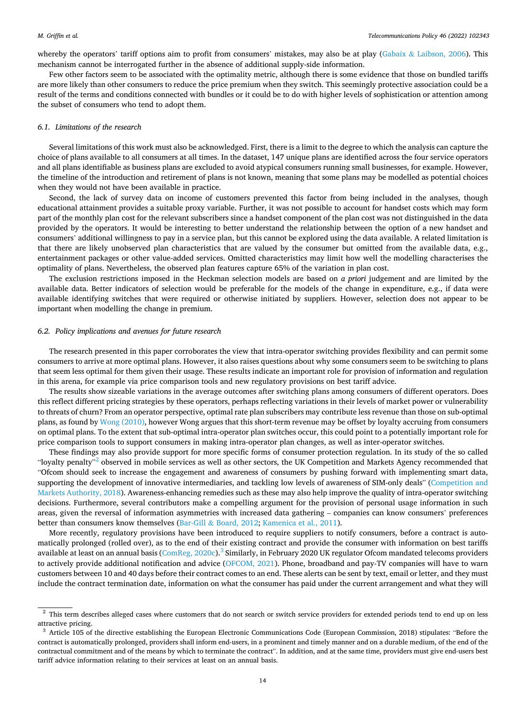whereby the operators' tariff options aim to profit from consumers' mistakes, may also be at play (Gabaix & [Laibson, 2006](#page-18-0)). This mechanism cannot be interrogated further in the absence of additional supply-side information.

Few other factors seem to be associated with the optimality metric, although there is some evidence that those on bundled tariffs are more likely than other consumers to reduce the price premium when they switch. This seemingly protective association could be a result of the terms and conditions connected with bundles or it could be to do with higher levels of sophistication or attention among the subset of consumers who tend to adopt them.

## *6.1. Limitations of the research*

Several limitations of this work must also be acknowledged. First, there is a limit to the degree to which the analysis can capture the choice of plans available to all consumers at all times. In the dataset, 147 unique plans are identified across the four service operators and all plans identifiable as business plans are excluded to avoid atypical consumers running small businesses, for example. However, the timeline of the introduction and retirement of plans is not known, meaning that some plans may be modelled as potential choices when they would not have been available in practice.

Second, the lack of survey data on income of customers prevented this factor from being included in the analyses, though educational attainment provides a suitable proxy variable. Further, it was not possible to account for handset costs which may form part of the monthly plan cost for the relevant subscribers since a handset component of the plan cost was not distinguished in the data provided by the operators. It would be interesting to better understand the relationship between the option of a new handset and consumers' additional willingness to pay in a service plan, but this cannot be explored using the data available. A related limitation is that there are likely unobserved plan characteristics that are valued by the consumer but omitted from the available data, e.g., entertainment packages or other value-added services. Omitted characteristics may limit how well the modelling characterises the optimality of plans. Nevertheless, the observed plan features capture 65% of the variation in plan cost.

The exclusion restrictions imposed in the Heckman selection models are based on *a priori* judgement and are limited by the available data. Better indicators of selection would be preferable for the models of the change in expenditure, e.g., if data were available identifying switches that were required or otherwise initiated by suppliers. However, selection does not appear to be important when modelling the change in premium.

#### *6.2. Policy implications and avenues for future research*

The research presented in this paper corroborates the view that intra-operator switching provides flexibility and can permit some consumers to arrive at more optimal plans. However, it also raises questions about why some consumers seem to be switching to plans that seem less optimal for them given their usage. These results indicate an important role for provision of information and regulation in this arena, for example via price comparison tools and new regulatory provisions on best tariff advice.

The results show sizeable variations in the average outcomes after switching plans among consumers of different operators. Does this reflect different pricing strategies by these operators, perhaps reflecting variations in their levels of market power or vulnerability to threats of churn? From an operator perspective, optimal rate plan subscribers may contribute less revenue than those on sub-optimal plans, as found by [Wong \(2010\),](#page-19-0) however Wong argues that this short-term revenue may be offset by loyalty accruing from consumers on optimal plans. To the extent that sub-optimal intra-operator plan switches occur, this could point to a potentially important role for price comparison tools to support consumers in making intra-operator plan changes, as well as inter-operator switches.

These findings may also provide support for more specific forms of consumer protection regulation. In its study of the so called "loyalty penalty"<sup>2</sup> observed in mobile services as well as other sectors, the UK Competition and Markets Agency recommended that "Ofcom should seek to increase the engagement and awareness of consumers by pushing forward with implementing smart data, supporting the development of innovative intermediaries, and tackling low levels of awareness of SIM-only deals" [\(Competition and](#page-18-0) [Markets Authority, 2018](#page-18-0)). Awareness-enhancing remedies such as these may also help improve the quality of intra-operator switching decisions. Furthermore, several contributors make a compelling argument for the provision of personal usage information in such areas, given the reversal of information asymmetries with increased data gathering – companies can know consumers' preferences better than consumers know themselves (Bar-Gill & [Board, 2012](#page-18-0); [Kamenica et al., 2011](#page-18-0)).

More recently, regulatory provisions have been introduced to require suppliers to notify consumers, before a contract is automatically prolonged (rolled over), as to the end of their existing contract and provide the consumer with information on best tariffs available at least on an annual basis  $(\text{ComReg}, 2020c)$ .<sup>3</sup> Similarly, in February 2020 UK regulator Ofcom mandated telecoms providers to actively provide additional notification and advice ([OFCOM, 2021](#page-19-0)). Phone, broadband and pay-TV companies will have to warn customers between 10 and 40 days before their contract comes to an end. These alerts can be sent by text, email or letter, and they must include the contract termination date, information on what the consumer has paid under the current arrangement and what they will

<sup>&</sup>lt;sup>2</sup> This term describes alleged cases where customers that do not search or switch service providers for extended periods tend to end up on less attractive pricing.<br><sup>3</sup> Article 105 of the directive establishing the European Electronic Communications Code (European Commission, 2018) stipulates: "Before the

contract is automatically prolonged, providers shall inform end-users, in a prominent and timely manner and on a durable medium, of the end of the contractual commitment and of the means by which to terminate the contract". In addition, and at the same time, providers must give end-users best tariff advice information relating to their services at least on an annual basis.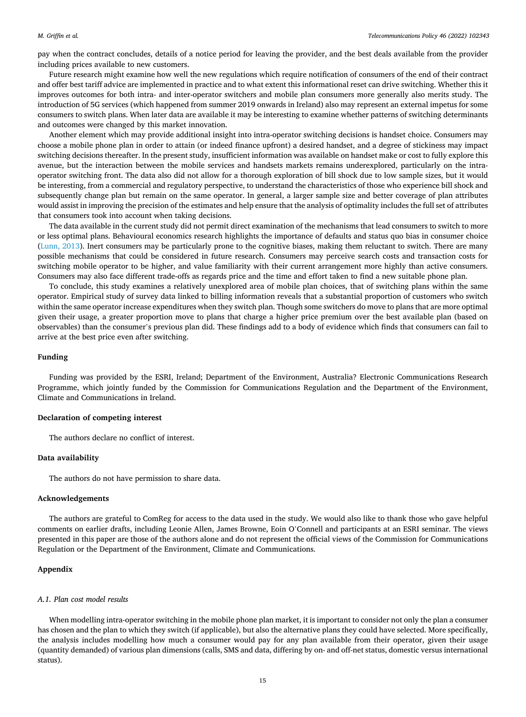<span id="page-14-0"></span>pay when the contract concludes, details of a notice period for leaving the provider, and the best deals available from the provider including prices available to new customers.

Future research might examine how well the new regulations which require notification of consumers of the end of their contract and offer best tariff advice are implemented in practice and to what extent this informational reset can drive switching. Whether this it improves outcomes for both intra- and inter-operator switchers and mobile plan consumers more generally also merits study. The introduction of 5G services (which happened from summer 2019 onwards in Ireland) also may represent an external impetus for some consumers to switch plans. When later data are available it may be interesting to examine whether patterns of switching determinants and outcomes were changed by this market innovation.

Another element which may provide additional insight into intra-operator switching decisions is handset choice. Consumers may choose a mobile phone plan in order to attain (or indeed finance upfront) a desired handset, and a degree of stickiness may impact switching decisions thereafter. In the present study, insufficient information was available on handset make or cost to fully explore this avenue, but the interaction between the mobile services and handsets markets remains underexplored, particularly on the intraoperator switching front. The data also did not allow for a thorough exploration of bill shock due to low sample sizes, but it would be interesting, from a commercial and regulatory perspective, to understand the characteristics of those who experience bill shock and subsequently change plan but remain on the same operator. In general, a larger sample size and better coverage of plan attributes would assist in improving the precision of the estimates and help ensure that the analysis of optimality includes the full set of attributes that consumers took into account when taking decisions.

The data available in the current study did not permit direct examination of the mechanisms that lead consumers to switch to more or less optimal plans. Behavioural economics research highlights the importance of defaults and status quo bias in consumer choice [\(Lunn, 2013](#page-18-0)). Inert consumers may be particularly prone to the cognitive biases, making them reluctant to switch. There are many possible mechanisms that could be considered in future research. Consumers may perceive search costs and transaction costs for switching mobile operator to be higher, and value familiarity with their current arrangement more highly than active consumers. Consumers may also face different trade-offs as regards price and the time and effort taken to find a new suitable phone plan.

To conclude, this study examines a relatively unexplored area of mobile plan choices, that of switching plans within the same operator. Empirical study of survey data linked to billing information reveals that a substantial proportion of customers who switch within the same operator increase expenditures when they switch plan. Though some switchers do move to plans that are more optimal given their usage, a greater proportion move to plans that charge a higher price premium over the best available plan (based on observables) than the consumer's previous plan did. These findings add to a body of evidence which finds that consumers can fail to arrive at the best price even after switching.

## **Funding**

Funding was provided by the ESRI, Ireland; Department of the Environment, Australia? Electronic Communications Research Programme, which jointly funded by the Commission for Communications Regulation and the Department of the Environment, Climate and Communications in Ireland.

#### **Declaration of competing interest**

The authors declare no conflict of interest.

## **Data availability**

The authors do not have permission to share data.

#### **Acknowledgements**

The authors are grateful to ComReg for access to the data used in the study. We would also like to thank those who gave helpful comments on earlier drafts, including Leonie Allen, James Browne, Eoin O'Connell and participants at an ESRI seminar. The views presented in this paper are those of the authors alone and do not represent the official views of the Commission for Communications Regulation or the Department of the Environment, Climate and Communications.

## **Appendix**

#### *A.1. Plan cost model results*

When modelling intra-operator switching in the mobile phone plan market, it is important to consider not only the plan a consumer has chosen and the plan to which they switch (if applicable), but also the alternative plans they could have selected. More specifically, the analysis includes modelling how much a consumer would pay for any plan available from their operator, given their usage (quantity demanded) of various plan dimensions (calls, SMS and data, differing by on- and off-net status, domestic versus international status).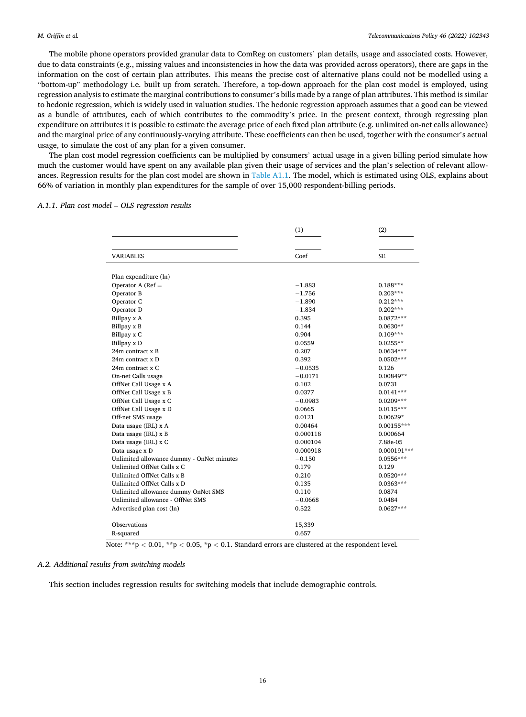The mobile phone operators provided granular data to ComReg on customers' plan details, usage and associated costs. However, due to data constraints (e.g., missing values and inconsistencies in how the data was provided across operators), there are gaps in the information on the cost of certain plan attributes. This means the precise cost of alternative plans could not be modelled using a "bottom-up" methodology i.e. built up from scratch. Therefore, a top-down approach for the plan cost model is employed, using regression analysis to estimate the marginal contributions to consumer's bills made by a range of plan attributes. This method is similar to hedonic regression, which is widely used in valuation studies. The hedonic regression approach assumes that a good can be viewed as a bundle of attributes, each of which contributes to the commodity's price. In the present context, through regressing plan expenditure on attributes it is possible to estimate the average price of each fixed plan attribute (e.g. unlimited on-net calls allowance) and the marginal price of any continuously-varying attribute. These coefficients can then be used, together with the consumer's actual usage, to simulate the cost of any plan for a given consumer.

The plan cost model regression coefficients can be multiplied by consumers' actual usage in a given billing period simulate how much the customer would have spent on any available plan given their usage of services and the plan's selection of relevant allow-ances. Regression results for the plan cost model are shown in [Table A1.1](#page-17-0). The model, which is estimated using OLS, explains about 66% of variation in monthly plan expenditures for the sample of over 15,000 respondent-billing periods.

|  |  |  |  |  |  |  |  | A.1.1. Plan cost model – OLS regression results |  |  |
|--|--|--|--|--|--|--|--|-------------------------------------------------|--|--|
|--|--|--|--|--|--|--|--|-------------------------------------------------|--|--|

|                                           | (1)       | (2)           |
|-------------------------------------------|-----------|---------------|
|                                           |           |               |
| <b>VARIABLES</b>                          | Coef      | <b>SE</b>     |
|                                           |           |               |
| Plan expenditure (ln)                     |           |               |
| Operator A ( $Ref =$                      | $-1.883$  | $0.188***$    |
| Operator B                                | $-1.756$  | $0.203***$    |
| Operator C                                | $-1.890$  | $0.212***$    |
| Operator D                                | $-1.834$  | $0.202***$    |
| Billpay x A                               | 0.395     | $0.0872***$   |
| Billpay x B                               | 0.144     | $0.0630**$    |
| Billpay x C                               | 0.904     | $0.109***$    |
| Billpay x D                               | 0.0559    | $0.0255**$    |
| 24m contract x B                          | 0.207     | $0.0634***$   |
| 24m contract x D                          | 0.392     | $0.0502***$   |
| 24m contract x C                          | $-0.0535$ | 0.126         |
| On-net Calls usage                        | $-0.0171$ | $0.00849**$   |
| OffNet Call Usage x A                     | 0.102     | 0.0731        |
| OffNet Call Usage x B                     | 0.0377    | $0.0141***$   |
| OffNet Call Usage x C                     | $-0.0983$ | 0.0209***     |
| OffNet Call Usage x D                     | 0.0665    | $0.0115***$   |
| Off-net SMS usage                         | 0.0121    | $0.00629*$    |
| Data usage (IRL) x A                      | 0.00464   | $0.00155***$  |
| Data usage (IRL) x B                      | 0.000118  | 0.000664      |
| Data usage (IRL) x C                      | 0.000104  | 7.88e-05      |
| Data usage x D                            | 0.000918  | $0.000191***$ |
| Unlimited allowance dummy - OnNet minutes | $-0.150$  | $0.0556***$   |
| Unlimited OffNet Calls x C                | 0.179     | 0.129         |
| Unlimited OffNet Calls x B                | 0.210     | $0.0520***$   |
| Unlimited OffNet Calls x D                | 0.135     | $0.0363***$   |
| Unlimited allowance dummy OnNet SMS       | 0.110     | 0.0874        |
| Unlimited allowance - OffNet SMS          | $-0.0668$ | 0.0484        |
| Advertised plan cost (ln)                 | 0.522     | $0.0627***$   |
| Observations                              | 15,339    |               |
| R-squared                                 | 0.657     |               |

Note: \*\*\*p < 0.01, \*\*p < 0.05, \*p < 0.1. Standard errors are clustered at the respondent level.

## *A.2. Additional results from switching models*

This section includes regression results for switching models that include demographic controls.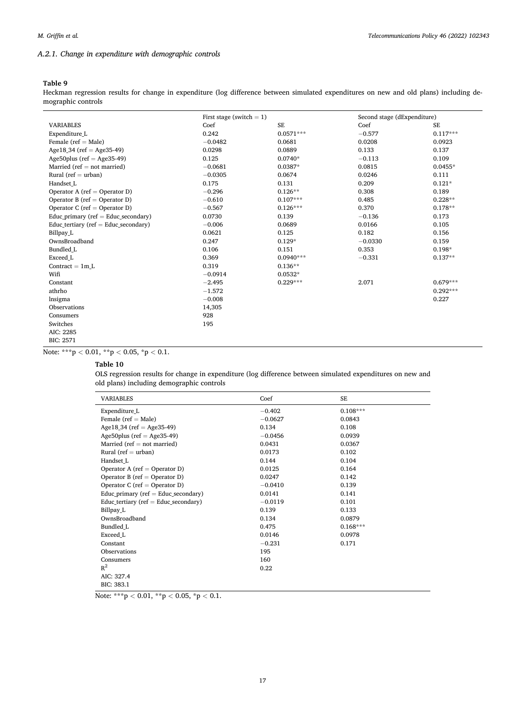## *A.2.1. Change in expenditure with demographic controls*

## **Table 9**

Heckman regression results for change in expenditure (log difference between simulated expenditures on new and old plans) including demographic controls

|                                         |           | First stage (switch $= 1$ ) |           | Second stage (dExpenditure) |
|-----------------------------------------|-----------|-----------------------------|-----------|-----------------------------|
| <b>VARIABLES</b>                        | Coef      | $\rm SE$                    | Coef      | SE                          |
| Expenditure L                           | 0.242     | $0.0571***$                 | $-0.577$  | $0.117***$                  |
| Female ( $ref = Male$ )                 | $-0.0482$ | 0.0681                      | 0.0208    | 0.0923                      |
| Age18.34 (ref = Age35-49)               | 0.0298    | 0.0889                      | 0.133     | 0.137                       |
| Age50plus ( $ref = Age35-49$ )          | 0.125     | $0.0740*$                   | $-0.113$  | 0.109                       |
| Married ( $ref = not married$ )         | $-0.0681$ | 0.0387*                     | 0.0815    | $0.0455*$                   |
| Rural ( $ref = urban$ )                 | $-0.0305$ | 0.0674                      | 0.0246    | 0.111                       |
| Handset L                               | 0.175     | 0.131                       | 0.209     | $0.121*$                    |
| Operator A (ref = Operator D)           | $-0.296$  | $0.126**$                   | 0.308     | 0.189                       |
| Operator B (ref = Operator D)           | $-0.610$  | $0.107***$                  | 0.485     | $0.228**$                   |
| Operator C (ref = Operator D)           | $-0.567$  | $0.126***$                  | 0.370     | $0.178**$                   |
| Educ primary ( $ref = Educ$ secondary)  | 0.0730    | 0.139                       | $-0.136$  | 0.173                       |
| Educ tertiary ( $ref = Educ$ secondary) | $-0.006$  | 0.0689                      | 0.0166    | 0.105                       |
| Billpay L                               | 0.0621    | 0.125                       | 0.182     | 0.156                       |
| OwnsBroadband                           | 0.247     | $0.129*$                    | $-0.0330$ | 0.159                       |
| Bundled L                               | 0.106     | 0.151                       | 0.353     | $0.198*$                    |
| Exceed L                                | 0.369     | $0.0940***$                 | $-0.331$  | $0.137**$                   |
| Contract $= 1m L$                       | 0.319     | $0.136**$                   |           |                             |
| Wifi                                    | $-0.0914$ | $0.0532*$                   |           |                             |
| Constant                                | $-2.495$  | $0.229***$                  | 2.071     | $0.679***$                  |
| athrho                                  | $-1.572$  |                             |           | $0.292***$                  |
| lnsigma                                 | $-0.008$  |                             |           | 0.227                       |
| <b>Observations</b>                     | 14,305    |                             |           |                             |
| Consumers                               | 928       |                             |           |                             |
| Switches                                | 195       |                             |           |                             |
| AIC: 2285                               |           |                             |           |                             |
| <b>BIC: 2571</b>                        |           |                             |           |                             |

Note: \*\*\*p *<* 0.01, \*\*p *<* 0.05, \*p *<* 0.1.

## **Table 10**

OLS regression results for change in expenditure (log difference between simulated expenditures on new and old plans) including demographic controls

| <b>VARIABLES</b>                         | Coef      | <b>SE</b>  |  |
|------------------------------------------|-----------|------------|--|
| Expenditure L                            | $-0.402$  | $0.108***$ |  |
| Female ( $ref = Male$ )                  | $-0.0627$ | 0.0843     |  |
| Age18 <sub>.</sub> 34 (ref = Age35-49)   | 0.134     | 0.108      |  |
| Age50plus ( $ref = Age35-49$ )           | $-0.0456$ | 0.0939     |  |
| Married (ref $=$ not married)            | 0.0431    | 0.0367     |  |
| Rural (ref $=$ urban)                    | 0.0173    | 0.102      |  |
| Handset L                                | 0.144     | 0.104      |  |
| Operator A (ref = Operator D)            | 0.0125    | 0.164      |  |
| Operator B (ref = Operator D)            | 0.0247    | 0.142      |  |
| Operator C (ref = Operator D)            | $-0.0410$ | 0.139      |  |
| Educ_primary ( $ref = Educ\_secondary$ ) | 0.0141    | 0.141      |  |
| Educ tertiary ( $ref = Educ$ secondary)  | $-0.0119$ | 0.101      |  |
| Billpay L                                | 0.139     | 0.133      |  |
| OwnsBroadband                            | 0.134     | 0.0879     |  |
| Bundled L                                | 0.475     | $0.168***$ |  |
| Exceed L                                 | 0.0146    | 0.0978     |  |
| Constant                                 | $-0.231$  | 0.171      |  |
| Observations                             | 195       |            |  |
| Consumers                                | 160       |            |  |
| $R^2$                                    | 0.22      |            |  |
| AIC: 327.4                               |           |            |  |
| BIC: 383.1                               |           |            |  |

Note: \*\*\*p *<* 0.01, \*\*p *<* 0.05, \*p *<* 0.1.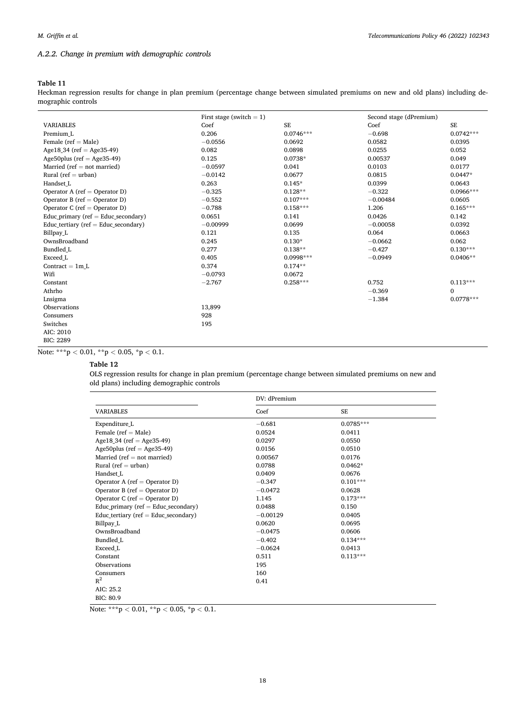## <span id="page-17-0"></span>*A.2.2. Change in premium with demographic controls*

## **Table 11**

Heckman regression results for change in plan premium (percentage change between simulated premiums on new and old plans) including demographic controls

|                                         | First stage (switch $= 1$ ) |             | Second stage (dPremium) |             |
|-----------------------------------------|-----------------------------|-------------|-------------------------|-------------|
| <b>VARIABLES</b>                        | Coef                        | <b>SE</b>   | Coef                    | <b>SE</b>   |
| Premium L                               | 0.206                       | $0.0746***$ | $-0.698$                | $0.0742***$ |
| Female ( $ref = Male$ )                 | $-0.0556$                   | 0.0692      | 0.0582                  | 0.0395      |
| Age18 34 (ref = Age35-49)               | 0.082                       | 0.0898      | 0.0255                  | 0.052       |
| Age50plus ( $ref = Age35-49$ )          | 0.125                       | $0.0738*$   | 0.00537                 | 0.049       |
| Married (ref $=$ not married)           | $-0.0597$                   | 0.041       | 0.0103                  | 0.0177      |
| Rural ( $ref = urban$ )                 | $-0.0142$                   | 0.0677      | 0.0815                  | $0.0447*$   |
| Handset L                               | 0.263                       | $0.145*$    | 0.0399                  | 0.0643      |
| Operator A (ref = Operator D)           | $-0.325$                    | $0.128**$   | $-0.322$                | $0.0966***$ |
| Operator B (ref = Operator D)           | $-0.552$                    | $0.107***$  | $-0.00484$              | 0.0605      |
| Operator C (ref = Operator D)           | $-0.788$                    | $0.158***$  | 1.206                   | $0.165***$  |
| Educ primary (ref = Educ secondary)     | 0.0651                      | 0.141       | 0.0426                  | 0.142       |
| Educ tertiary ( $ref = Educ$ secondary) | $-0.00999$                  | 0.0699      | $-0.00058$              | 0.0392      |
| Billpay L                               | 0.121                       | 0.135       | 0.064                   | 0.0663      |
| OwnsBroadband                           | 0.245                       | $0.130*$    | $-0.0662$               | 0.062       |
| <b>Bundled L</b>                        | 0.277                       | $0.138**$   | $-0.427$                | $0.130***$  |
| Exceed L                                | 0.405                       | $0.0998***$ | $-0.0949$               | $0.0406**$  |
| Contract $= 1m L$                       | 0.374                       | $0.174**$   |                         |             |
| Wifi                                    | $-0.0793$                   | 0.0672      |                         |             |
| Constant                                | $-2.767$                    | $0.258***$  | 0.752                   | $0.113***$  |
| Athrho                                  |                             |             | $-0.369$                | $\Omega$    |
| Lnsigma                                 |                             |             | $-1.384$                | $0.0778***$ |
| Observations                            | 13,899                      |             |                         |             |
| Consumers                               | 928                         |             |                         |             |
| Switches                                | 195                         |             |                         |             |
| AIC: 2010                               |                             |             |                         |             |
| <b>BIC: 2289</b>                        |                             |             |                         |             |

Note: \*\*\*p *<* 0.01, \*\*p *<* 0.05, \*p *<* 0.1.

## **Table 12**

OLS regression results for change in plan premium (percentage change between simulated premiums on new and old plans) including demographic controls

|                                         | DV: dPremium |             |  |
|-----------------------------------------|--------------|-------------|--|
| <b>VARIABLES</b>                        | Coef         | <b>SE</b>   |  |
| Expenditure L                           | $-0.681$     | $0.0785***$ |  |
| Female ( $ref = Male$ )                 | 0.0524       | 0.0411      |  |
| Age18 34 (ref = Age35-49)               | 0.0297       | 0.0550      |  |
| Age50plus ( $ref = Age35-49$ )          | 0.0156       | 0.0510      |  |
| Married (ref $=$ not married)           | 0.00567      | 0.0176      |  |
| Rural ( $ref = urban$ )                 | 0.0788       | $0.0462*$   |  |
| Handset L                               | 0.0409       | 0.0676      |  |
| Operator A (ref = Operator D)           | $-0.347$     | $0.101***$  |  |
| Operator B (ref = Operator D)           | $-0.0472$    | 0.0628      |  |
| Operator C (ref = Operator D)           | 1.145        | $0.173***$  |  |
| Educ primary ( $ref = Educ$ secondary)  | 0.0488       | 0.150       |  |
| Educ tertiary ( $ref = Educ$ secondary) | $-0.00129$   | 0.0405      |  |
| Billpay L                               | 0.0620       | 0.0695      |  |
| OwnsBroadband                           | $-0.0475$    | 0.0606      |  |
| Bundled L                               | $-0.402$     | $0.134***$  |  |
| Exceed L                                | $-0.0624$    | 0.0413      |  |
| Constant                                | 0.511        | $0.113***$  |  |
| Observations                            | 195          |             |  |
| Consumers                               | 160          |             |  |
| $R^2$                                   | 0.41         |             |  |
| AIC: 25.2                               |              |             |  |
| BIC: 80.9                               |              |             |  |

Note: \*\*\*p *<* 0.01, \*\*p *<* 0.05, \*p *<* 0.1.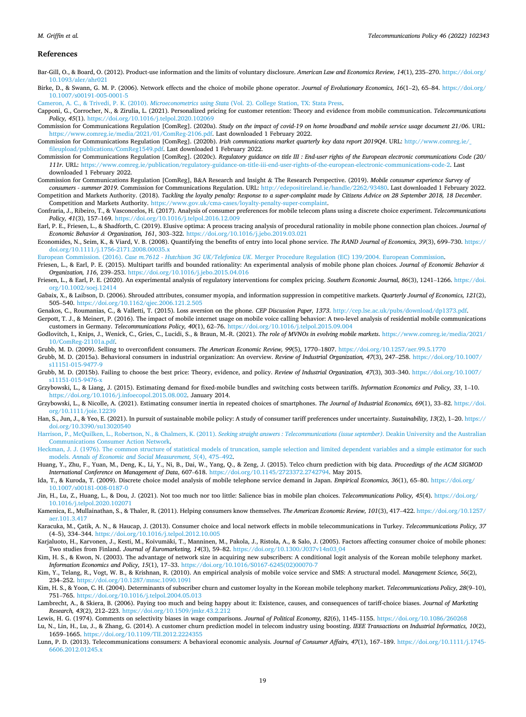#### <span id="page-18-0"></span>*M. Griffin et al.*

#### **References**

Bar-Gill, O., & Board, O. (2012). Product-use information and the limits of voluntary disclosure. *American Law and Economics Review, 14*(1), 235–270. [https://doi.org/](https://doi.org/10.1093/aler/ahr021) [10.1093/aler/ahr021](https://doi.org/10.1093/aler/ahr021)

Birke, D., & Swann, G. M. P. (2006). Network effects and the choice of mobile phone operator. *Journal of Evolutionary Economics, 16*(1–2), 65–84. [https://doi.org/](https://doi.org/10.1007/s00191-005-0001-5) [10.1007/s00191-005-0001-5](https://doi.org/10.1007/s00191-005-0001-5) 

[Cameron, A. C., & Trivedi, P. K. \(2010\).](http://refhub.elsevier.com/S0308-5961(22)00045-3/sref3) *Microeconometrics using Stata* (Vol. 2). College Station, TX: Stata Press.

Capponi, G., Corrocher, N., & Zirulia, L. (2021). Personalized pricing for customer retention: Theory and evidence from mobile communication. *Telecommunications Policy, 45*(1).<https://doi.org/10.1016/j.telpol.2020.102069>

Commission for Communications Regulation [ComReg]. (2020a). *Study on the impact of covid-19 on home broadband and mobile service usage document 21/06*. URL: [https://www.comreg.ie/media/2021/01/ComReg-2106.pdf.](https://www.comreg.ie/media/2021/01/ComReg-2106.pdf) Last downloaded 1 February 2022.

Commission for Communications Regulation [ComReg]. (2020b). *Irish communications market quarterly key data report 2019Q4*. URL: [http://www.comreg.ie/\\_](http://www.comreg.ie/_fileupload/publications/ComReg1549.pdf) [fileupload/publications/ComReg1549.pdf](http://www.comreg.ie/_fileupload/publications/ComReg1549.pdf). Last downloaded 1 February 2022.

Commission for Communications Regulation [ComReg]. (2020c). *Regulatory guidance on title III : End-user rights of the European electronic communications Code (20/ 111r*. URL: [https://www.comreg.ie/publication/regulatory-guidance-on-title-iii-end-user-rights-of-the-european-electronic-communications-code-2.](https://www.comreg.ie/publication/regulatory-guidance-on-title-iii-end-user-rights-of-the-european-electronic-communications-code-2) Last downloaded 1 February 2022.

Commission for Communications Regulation [ComReg], B&A Research and Insight & The Research Perspective. (2019). *Mobile consumer experience Survey of consumers - summer 2019*. Commission for Communications Regulation. URL: [http://edepositireland.ie/handle/2262/93480.](http://edepositireland.ie/handle/2262/93480) Last downloaded 1 February 2022.

Competition and Markets Authority. (2018). *Tackling the loyalty penalty: Response to a super-complaint made by Citizens Advice on 28 September 2018, 18 December*. Competition and Markets Authority. [https://www.gov.uk/cma-cases/loyalty-penalty-super-complaint.](https://www.gov.uk/cma-cases/loyalty-penalty-super-complaint)

- Confraria, J., Ribeiro, T., & Vasconcelos, H. (2017). Analysis of consumer preferences for mobile telecom plans using a discrete choice experiment. *Telecommunications Policy, 41*(3), 157–169. <https://doi.org/10.1016/j.telpol.2016.12.009>
- Earl, P. E., Friesen, L., & Shadforth, C. (2019). Elusive optima: A process tracing analysis of procedural rationality in mobile phone connection plan choices. *Journal of Economic Behavior & Organization, 161*, 303–322. <https://doi.org/10.1016/j.jebo.2019.03.021>
- Economides, N., Seim, K., & Viard, V. B. (2008). Quantifying the benefits of entry into local phone service. *The RAND Journal of Economics, 39*(3), 699–730. [https://](https://doi.org/10.1111/j.1756-2171.2008.00035.x) [doi.org/10.1111/j.1756-2171.2008.00035.x](https://doi.org/10.1111/j.1756-2171.2008.00035.x)

European Commission. (2016). *Case m.7612 - Hutchison 3G UK/Telefonica UK*[. Merger Procedure Regulation \(EC\) 139/2004. European Commission.](http://refhub.elsevier.com/S0308-5961(22)00045-3/sref13)

- Friesen, L., & Earl, P. E. (2015). Multipart tariffs and bounded rationality: An experimental analysis of mobile phone plan choices. *Journal of Economic Behavior & Organization, 116*, 239–253. <https://doi.org/10.1016/j.jebo.2015.04.016>
- Friesen, L., & Earl, P. E. (2020). An experimental analysis of regulatory interventions for complex pricing. *Southern Economic Journal, 86*(3), 1241–1266. [https://doi.](https://doi.org/10.1002/soej.12414) [org/10.1002/soej.12414](https://doi.org/10.1002/soej.12414)
- Gabaix, X., & Laibson, D. (2006). Shrouded attributes, consumer myopia, and information suppression in competitive markets. *Quarterly Journal of Economics, 121*(2), 505–540. <https://doi.org/10.1162/qjec.2006.121.2.505>

Genakos, C., Roumanias, C., & Valletti, T. (2015). Loss aversion on the phone. *CEP Discussion Paper, 1373*. <http://cep.lse.ac.uk/pubs/download/dp1373.pdf>.

Gerpott, T. J., & Meinert, P. (2016). The impact of mobile internet usage on mobile voice calling behavior: A two-level analysis of residential mobile communications customers in Germany. *Telecommunications Policy, 40*(1), 62–76. <https://doi.org/10.1016/j.telpol.2015.09.004>

Godlovitch, I., Knips, J., Wenick, C., Gries, C., Lucidi, S., & Braun, M.-R. (2021). *The role of MVNOs in evolving mobile markets*. [https://www.comreg.ie/media/2021/](https://www.comreg.ie/media/2021/10/ComReg-21101a.pdf) [10/ComReg-21101a.pdf](https://www.comreg.ie/media/2021/10/ComReg-21101a.pdf).

Grubb, M. D. (2009). Selling to overconfident consumers. *The American Economic Review, 99*(5), 1770–1807. <https://doi.org/10.1257/aer.99.5.1770>

Grubb, M. D. (2015a). Behavioral consumers in industrial organization: An overview. *Review of Industrial Organization, 47*(3), 247–258. [https://doi.org/10.1007/](https://doi.org/10.1007/s11151-015-9477-9) [s11151-015-9477-9](https://doi.org/10.1007/s11151-015-9477-9)

- Grubb, M. D. (2015b). Failing to choose the best price: Theory, evidence, and policy. *Review of Industrial Organization, 47*(3), 303–340. [https://doi.org/10.1007/](https://doi.org/10.1007/s11151-015-9476-x)  [s11151-015-9476-x](https://doi.org/10.1007/s11151-015-9476-x)
- Grzybowski, L., & Liang, J. (2015). Estimating demand for fixed-mobile bundles and switching costs between tariffs. *Information Economics and Policy, 33*, 1–10. [https://doi.org/10.1016/j.infoecopol.2015.08.002.](https://doi.org/10.1016/j.infoecopol.2015.08.002) January 2014.
- Grzybowski, L., & Nicolle, A. (2021). Estimating consumer inertia in repeated choices of smartphones. *The Journal of Industrial Economics, 69*(1), 33–82. [https://doi.](https://doi.org/10.1111/joie.12239) [org/10.1111/joie.12239](https://doi.org/10.1111/joie.12239)
- Han, S., Jun, J., & Yeo, E. (2021). In pursuit of sustainable mobile policy: A study of consumer tariff preferences under uncertainty. *Sustainability, 13*(2), 1–20. [https://](https://doi.org/10.3390/su13020540) [doi.org/10.3390/su13020540](https://doi.org/10.3390/su13020540)
- [Harrison, P., McQuilken, L., Robertson, N., & Chalmers, K. \(2011\).](http://refhub.elsevier.com/S0308-5961(22)00045-3/sref26) *Seeking straight answers : Telecommunications (issue september)*. Deakin University and the Australian [Communications Consumer Action Network.](http://refhub.elsevier.com/S0308-5961(22)00045-3/sref26)
- [Heckman, J. J. \(1976\). The common structure of statistical models of truncation, sample selection and limited dependent variables and a simple estimator for such](http://refhub.elsevier.com/S0308-5961(22)00045-3/sref27) models. *[Annals of Economic and Social Measurement, 5](http://refhub.elsevier.com/S0308-5961(22)00045-3/sref27)*(4), 475–492.
- Huang, Y., Zhu, F., Yuan, M., Deng, K., Li, Y., Ni, B., Dai, W., Yang, Q., & Zeng, J. (2015). Telco churn prediction with big data. *Proceedings of the ACM SIGMOD International Conference on Management of Data*, 607–618. [https://doi.org/10.1145/2723372.2742794.](https://doi.org/10.1145/2723372.2742794) May 2015.
- Ida, T., & Kuroda, T. (2009). Discrete choice model analysis of mobile telephone service demand in Japan. *Empirical Economics, 36*(1), 65–80. [https://doi.org/](https://doi.org/10.1007/s00181-008-0187-0)  [10.1007/s00181-008-0187-0](https://doi.org/10.1007/s00181-008-0187-0)
- Jin, H., Lu, Z., Huang, L., & Dou, J. (2021). Not too much nor too little: Salience bias in mobile plan choices. *Telecommunications Policy, 45*(4). [https://doi.org/](https://doi.org/10.1016/j.telpol.2020.102071) [10.1016/j.telpol.2020.102071](https://doi.org/10.1016/j.telpol.2020.102071)
- Kamenica, E., Mullainathan, S., & Thaler, R. (2011). Helping consumers know themselves. *The American Economic Review, 101*(3), 417–422. [https://doi.org/10.1257/](https://doi.org/10.1257/aer.101.3.417) [aer.101.3.417](https://doi.org/10.1257/aer.101.3.417)
- Karacuka, M., Çatik, A. N., & Haucap, J. (2013). Consumer choice and local network effects in mobile telecommunications in Turkey. *Telecommunications Policy, 37*  (4–5), 334–344. <https://doi.org/10.1016/j.telpol.2012.10.005>
- Karjaluoto, H., Karvonen, J., Kesti, M., Koivumäki, T., Manninen, M., Pakola, J., Ristola, A., & Salo, J. (2005). Factors affecting consumer choice of mobile phones: Two studies from Finland. *Journal of Euromarketing, 14*(3), 59–82. [https://doi.org/10.1300/J037v14n03\\_04](https://doi.org/10.1300/J037v14n03_04)
- Kim, H. S., & Kwon, N. (2003). The advantage of network size in acquiring new subscribers: A conditional logit analysis of the Korean mobile telephony market. *Information Economics and Policy, 15*(1), 17–33. [https://doi.org/10.1016/S0167-6245\(02\)00070-7](https://doi.org/10.1016/S0167-6245(02)00070-7)
- Kim, Y., Telang, R., Vogt, W. B., & Krishnan, R. (2010). An empirical analysis of mobile voice service and SMS: A structural model. *Management Science, 56*(2), 234–252. <https://doi.org/10.1287/mnsc.1090.1091>
- Kim, H. S., & Yoon, C. H. (2004). Determinants of subscriber churn and customer loyalty in the Korean mobile telephony market. *Telecommunications Policy, 28*(9–10), 751–765. <https://doi.org/10.1016/j.telpol.2004.05.013>
- Lambrecht, A., & Skiera, B. (2006). Paying too much and being happy about it: Existence, causes, and consequences of tariff-choice biases. *Journal of Marketing Research, 43*(2), 212–223. <https://doi.org/10.1509/jmkr.43.2.212>

Lewis, H. G. (1974). Comments on selectivity biases in wage comparisons. *Journal of Political Economy, 82*(6), 1145–1155.<https://doi.org/10.1086/260268>

- Lu, N., Lin, H., Lu, J., & Zhang, G. (2014). A customer churn prediction model in telecom industry using boosting. *IEEE Transactions on Industrial Informatics, 10*(2), 1659–1665. <https://doi.org/10.1109/TII.2012.2224355>
- Lunn, P. D. (2013). Telecommunications consumers: A behavioral economic analysis. *Journal of Consumer Affairs, 47*(1), 167–189. [https://doi.org/10.1111/j.1745-](https://doi.org/10.1111/j.1745-6606.2012.01245.x) [6606.2012.01245.x](https://doi.org/10.1111/j.1745-6606.2012.01245.x)